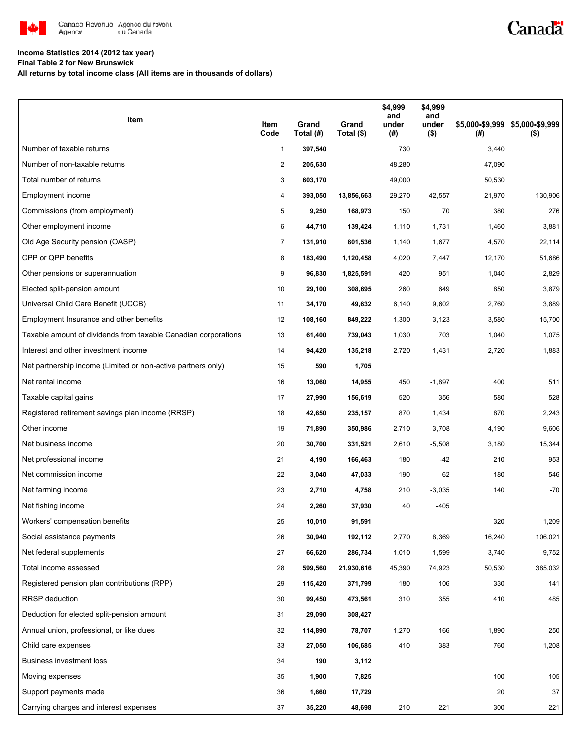

# Canadä

### **Income Statistics 2014 (2012 tax year)**

**Final Table 2 for New Brunswick**

**All returns by total income class (All items are in thousands of dollars)**

| Item                                                           | Item<br>Code   | Grand<br>Total (#) | Grand<br>Total (\$) | \$4,999<br>and<br>under<br>(#) | \$4,999<br>and<br>under<br>$($ \$) | (#)    | \$5,000-\$9,999 \$5,000-\$9,999<br>$($ \$) |
|----------------------------------------------------------------|----------------|--------------------|---------------------|--------------------------------|------------------------------------|--------|--------------------------------------------|
| Number of taxable returns                                      | $\mathbf{1}$   | 397,540            |                     | 730                            |                                    | 3,440  |                                            |
| Number of non-taxable returns                                  | $\overline{c}$ | 205,630            |                     | 48,280                         |                                    | 47,090 |                                            |
| Total number of returns                                        | 3              | 603,170            |                     | 49,000                         |                                    | 50,530 |                                            |
| Employment income                                              | 4              | 393,050            | 13,856,663          | 29,270                         | 42,557                             | 21,970 | 130,906                                    |
| Commissions (from employment)                                  | 5              | 9,250              | 168,973             | 150                            | 70                                 | 380    | 276                                        |
| Other employment income                                        | 6              | 44,710             | 139,424             | 1,110                          | 1,731                              | 1,460  | 3,881                                      |
| Old Age Security pension (OASP)                                | $\overline{7}$ | 131,910            | 801,536             | 1,140                          | 1,677                              | 4,570  | 22,114                                     |
| CPP or QPP benefits                                            | 8              | 183,490            | 1,120,458           | 4,020                          | 7,447                              | 12,170 | 51,686                                     |
| Other pensions or superannuation                               | 9              | 96,830             | 1,825,591           | 420                            | 951                                | 1,040  | 2,829                                      |
| Elected split-pension amount                                   | 10             | 29,100             | 308,695             | 260                            | 649                                | 850    | 3,879                                      |
| Universal Child Care Benefit (UCCB)                            | 11             | 34,170             | 49,632              | 6,140                          | 9,602                              | 2,760  | 3,889                                      |
| Employment Insurance and other benefits                        | 12             | 108,160            | 849,222             | 1,300                          | 3,123                              | 3,580  | 15,700                                     |
| Taxable amount of dividends from taxable Canadian corporations | 13             | 61,400             | 739,043             | 1,030                          | 703                                | 1,040  | 1,075                                      |
| Interest and other investment income                           | 14             | 94,420             | 135,218             | 2,720                          | 1,431                              | 2,720  | 1,883                                      |
| Net partnership income (Limited or non-active partners only)   | 15             | 590                | 1,705               |                                |                                    |        |                                            |
| Net rental income                                              | 16             | 13,060             | 14,955              | 450                            | $-1,897$                           | 400    | 511                                        |
| Taxable capital gains                                          | 17             | 27,990             | 156,619             | 520                            | 356                                | 580    | 528                                        |
| Registered retirement savings plan income (RRSP)               | 18             | 42,650             | 235,157             | 870                            | 1,434                              | 870    | 2,243                                      |
| Other income                                                   | 19             | 71,890             | 350,986             | 2,710                          | 3,708                              | 4,190  | 9,606                                      |
| Net business income                                            | 20             | 30,700             | 331,521             | 2,610                          | $-5,508$                           | 3,180  | 15,344                                     |
| Net professional income                                        | 21             | 4,190              | 166,463             | 180                            | $-42$                              | 210    | 953                                        |
| Net commission income                                          | 22             | 3,040              | 47,033              | 190                            | 62                                 | 180    | 546                                        |
| Net farming income                                             | 23             | 2,710              | 4,758               | 210                            | $-3,035$                           | 140    | $-70$                                      |
| Net fishing income                                             | 24             | 2,260              | 37,930              | 40                             | $-405$                             |        |                                            |
| Workers' compensation benefits                                 | 25             | 10,010             | 91,591              |                                |                                    | 320    | 1,209                                      |
| Social assistance payments                                     | 26             | 30,940             | 192,112             | 2,770                          | 8,369                              | 16,240 | 106,021                                    |
| Net federal supplements                                        | 27             | 66,620             | 286,734             | 1,010                          | 1,599                              | 3,740  | 9,752                                      |
| Total income assessed                                          | 28             | 599,560            | 21,930,616          | 45,390                         | 74,923                             | 50,530 | 385,032                                    |
| Registered pension plan contributions (RPP)                    | 29             | 115,420            | 371,799             | 180                            | 106                                | 330    | 141                                        |
| <b>RRSP</b> deduction                                          | 30             | 99,450             | 473,561             | 310                            | 355                                | 410    | 485                                        |
| Deduction for elected split-pension amount                     | 31             | 29,090             | 308,427             |                                |                                    |        |                                            |
| Annual union, professional, or like dues                       | 32             | 114,890            | 78,707              | 1,270                          | 166                                | 1,890  | 250                                        |
| Child care expenses                                            | 33             | 27,050             | 106,685             | 410                            | 383                                | 760    | 1,208                                      |
| Business investment loss                                       | 34             | 190                | 3,112               |                                |                                    |        |                                            |
| Moving expenses                                                | 35             | 1,900              | 7,825               |                                |                                    | 100    | 105                                        |
| Support payments made                                          | 36             | 1,660              | 17,729              |                                |                                    | 20     | 37                                         |
| Carrying charges and interest expenses                         | 37             | 35,220             | 48,698              | 210                            | 221                                | 300    | 221                                        |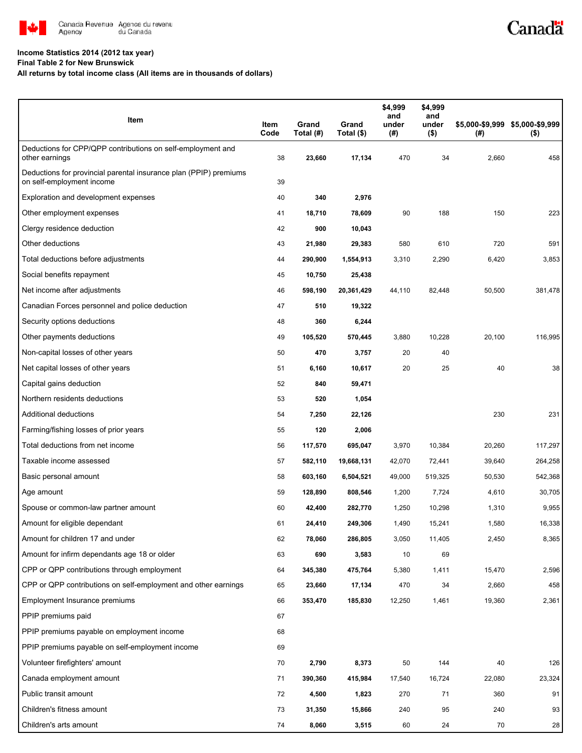

#### **Income Statistics 2014 (2012 tax year)**

**Final Table 2 for New Brunswick**

#### **All returns by total income class (All items are in thousands of dollars)**

| Item                                                                                           | Item<br>Code | Grand<br>Total (#) | Grand<br>Total (\$) | \$4,999<br>and<br>under<br>(#) | \$4,999<br>and<br>under<br>$($ \$) | (#)    | \$5,000-\$9,999 \$5,000-\$9,999<br>$($ \$) |
|------------------------------------------------------------------------------------------------|--------------|--------------------|---------------------|--------------------------------|------------------------------------|--------|--------------------------------------------|
| Deductions for CPP/QPP contributions on self-employment and<br>other earnings                  | 38           | 23,660             | 17,134              | 470                            | 34                                 | 2,660  | 458                                        |
| Deductions for provincial parental insurance plan (PPIP) premiums<br>on self-employment income | 39           |                    |                     |                                |                                    |        |                                            |
| Exploration and development expenses                                                           | 40           | 340                | 2,976               |                                |                                    |        |                                            |
| Other employment expenses                                                                      | 41           | 18,710             | 78,609              | 90                             | 188                                | 150    | 223                                        |
| Clergy residence deduction                                                                     | 42           | 900                | 10,043              |                                |                                    |        |                                            |
| Other deductions                                                                               | 43           | 21,980             | 29,383              | 580                            | 610                                | 720    | 591                                        |
| Total deductions before adjustments                                                            | 44           | 290,900            | 1,554,913           | 3,310                          | 2,290                              | 6,420  | 3,853                                      |
| Social benefits repayment                                                                      | 45           | 10,750             | 25,438              |                                |                                    |        |                                            |
| Net income after adjustments                                                                   | 46           | 598,190            | 20,361,429          | 44,110                         | 82,448                             | 50,500 | 381,478                                    |
| Canadian Forces personnel and police deduction                                                 | 47           | 510                | 19,322              |                                |                                    |        |                                            |
| Security options deductions                                                                    | 48           | 360                | 6,244               |                                |                                    |        |                                            |
| Other payments deductions                                                                      | 49           | 105,520            | 570,445             | 3,880                          | 10,228                             | 20,100 | 116,995                                    |
| Non-capital losses of other years                                                              | 50           | 470                | 3,757               | 20                             | 40                                 |        |                                            |
| Net capital losses of other years                                                              | 51           | 6,160              | 10,617              | 20                             | 25                                 | 40     | 38                                         |
| Capital gains deduction                                                                        | 52           | 840                | 59,471              |                                |                                    |        |                                            |
| Northern residents deductions                                                                  | 53           | 520                | 1,054               |                                |                                    |        |                                            |
| Additional deductions                                                                          | 54           | 7,250              | 22,126              |                                |                                    | 230    | 231                                        |
| Farming/fishing losses of prior years                                                          | 55           | 120                | 2,006               |                                |                                    |        |                                            |
| Total deductions from net income                                                               | 56           | 117,570            | 695,047             | 3,970                          | 10,384                             | 20,260 | 117,297                                    |
| Taxable income assessed                                                                        | 57           | 582,110            | 19,668,131          | 42,070                         | 72,441                             | 39,640 | 264,258                                    |
| Basic personal amount                                                                          | 58           | 603,160            | 6,504,521           | 49,000                         | 519,325                            | 50,530 | 542,368                                    |
| Age amount                                                                                     | 59           | 128,890            | 808,546             | 1,200                          | 7,724                              | 4,610  | 30,705                                     |
| Spouse or common-law partner amount                                                            | 60           | 42,400             | 282,770             | 1,250                          | 10,298                             | 1,310  | 9,955                                      |
| Amount for eligible dependant                                                                  | 61           | 24,410             | 249,306             | 1,490                          | 15,241                             | 1,580  | 16,338                                     |
| Amount for children 17 and under                                                               | 62           | 78,060             | 286,805             | 3,050                          | 11,405                             | 2,450  | 8,365                                      |
| Amount for infirm dependants age 18 or older                                                   | 63           | 690                | 3,583               | 10                             | 69                                 |        |                                            |
| CPP or QPP contributions through employment                                                    | 64           | 345,380            | 475,764             | 5,380                          | 1,411                              | 15,470 | 2,596                                      |
| CPP or QPP contributions on self-employment and other earnings                                 | 65           | 23,660             | 17,134              | 470                            | 34                                 | 2,660  | 458                                        |
| Employment Insurance premiums                                                                  | 66           | 353,470            | 185,830             | 12,250                         | 1,461                              | 19,360 | 2,361                                      |
| PPIP premiums paid                                                                             | 67           |                    |                     |                                |                                    |        |                                            |
| PPIP premiums payable on employment income                                                     | 68           |                    |                     |                                |                                    |        |                                            |
| PPIP premiums payable on self-employment income                                                | 69           |                    |                     |                                |                                    |        |                                            |
| Volunteer firefighters' amount                                                                 | 70           | 2,790              | 8,373               | 50                             | 144                                | 40     | 126                                        |
| Canada employment amount                                                                       | 71           | 390,360            | 415,984             | 17,540                         | 16,724                             | 22,080 | 23,324                                     |
| Public transit amount                                                                          | 72           | 4,500              | 1,823               | 270                            | 71                                 | 360    | 91                                         |
| Children's fitness amount                                                                      | 73           | 31,350             | 15,866              | 240                            | 95                                 | 240    | 93                                         |
| Children's arts amount                                                                         | 74           | 8,060              | 3,515               | 60                             | 24                                 | 70     | 28                                         |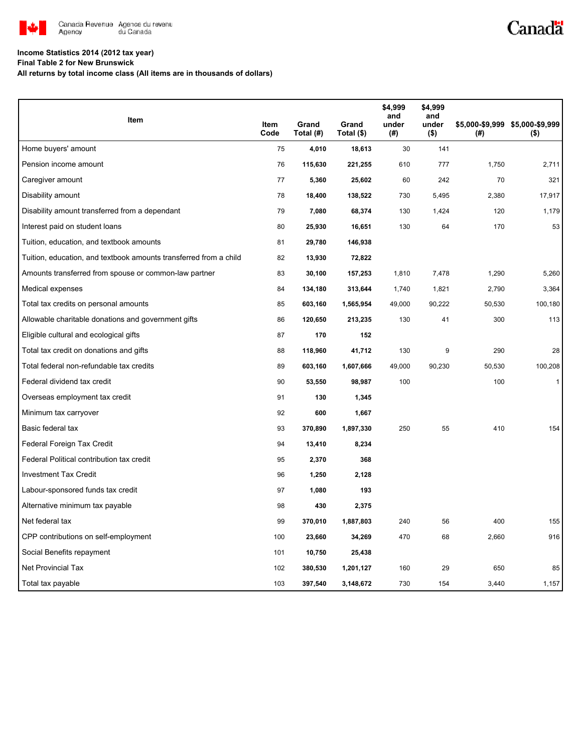

# Canadä

### **Income Statistics 2014 (2012 tax year)**

**Final Table 2 for New Brunswick**

**All returns by total income class (All items are in thousands of dollars)**

| Item                                                              |              |                    |                     | \$4,999<br>and | \$4,999<br>and   |        |                                            |
|-------------------------------------------------------------------|--------------|--------------------|---------------------|----------------|------------------|--------|--------------------------------------------|
|                                                                   | Item<br>Code | Grand<br>Total (#) | Grand<br>Total (\$) | under<br>(#)   | under<br>$($ \$) | (#)    | \$5,000-\$9,999 \$5,000-\$9,999<br>$($ \$) |
| Home buyers' amount                                               | 75           | 4,010              | 18,613              | 30             | 141              |        |                                            |
| Pension income amount                                             | 76           | 115,630            | 221,255             | 610            | 777              | 1,750  | 2,711                                      |
| Caregiver amount                                                  | 77           | 5,360              | 25,602              | 60             | 242              | 70     | 321                                        |
| Disability amount                                                 | 78           | 18,400             | 138,522             | 730            | 5,495            | 2,380  | 17,917                                     |
| Disability amount transferred from a dependant                    | 79           | 7,080              | 68,374              | 130            | 1,424            | 120    | 1,179                                      |
| Interest paid on student loans                                    | 80           | 25,930             | 16,651              | 130            | 64               | 170    | 53                                         |
| Tuition, education, and textbook amounts                          | 81           | 29,780             | 146,938             |                |                  |        |                                            |
| Tuition, education, and textbook amounts transferred from a child | 82           | 13,930             | 72,822              |                |                  |        |                                            |
| Amounts transferred from spouse or common-law partner             | 83           | 30,100             | 157,253             | 1,810          | 7,478            | 1,290  | 5,260                                      |
| Medical expenses                                                  | 84           | 134,180            | 313,644             | 1,740          | 1,821            | 2,790  | 3,364                                      |
| Total tax credits on personal amounts                             | 85           | 603,160            | 1,565,954           | 49,000         | 90,222           | 50,530 | 100,180                                    |
| Allowable charitable donations and government gifts               | 86           | 120,650            | 213,235             | 130            | 41               | 300    | 113                                        |
| Eligible cultural and ecological gifts                            | 87           | 170                | 152                 |                |                  |        |                                            |
| Total tax credit on donations and gifts                           | 88           | 118,960            | 41,712              | 130            | 9                | 290    | 28                                         |
| Total federal non-refundable tax credits                          | 89           | 603,160            | 1,607,666           | 49,000         | 90,230           | 50,530 | 100,208                                    |
| Federal dividend tax credit                                       | 90           | 53,550             | 98,987              | 100            |                  | 100    | $\mathbf{1}$                               |
| Overseas employment tax credit                                    | 91           | 130                | 1,345               |                |                  |        |                                            |
| Minimum tax carryover                                             | 92           | 600                | 1,667               |                |                  |        |                                            |
| Basic federal tax                                                 | 93           | 370,890            | 1,897,330           | 250            | 55               | 410    | 154                                        |
| Federal Foreign Tax Credit                                        | 94           | 13,410             | 8,234               |                |                  |        |                                            |
| Federal Political contribution tax credit                         | 95           | 2,370              | 368                 |                |                  |        |                                            |
| <b>Investment Tax Credit</b>                                      | 96           | 1,250              | 2,128               |                |                  |        |                                            |
| Labour-sponsored funds tax credit                                 | 97           | 1,080              | 193                 |                |                  |        |                                            |
| Alternative minimum tax payable                                   | 98           | 430                | 2,375               |                |                  |        |                                            |
| Net federal tax                                                   | 99           | 370,010            | 1,887,803           | 240            | 56               | 400    | 155                                        |
| CPP contributions on self-employment                              | 100          | 23,660             | 34,269              | 470            | 68               | 2,660  | 916                                        |
| Social Benefits repayment                                         | 101          | 10,750             | 25,438              |                |                  |        |                                            |
| <b>Net Provincial Tax</b>                                         | 102          | 380,530            | 1,201,127           | 160            | 29               | 650    | 85                                         |
| Total tax payable                                                 | 103          | 397,540            | 3,148,672           | 730            | 154              | 3,440  | 1,157                                      |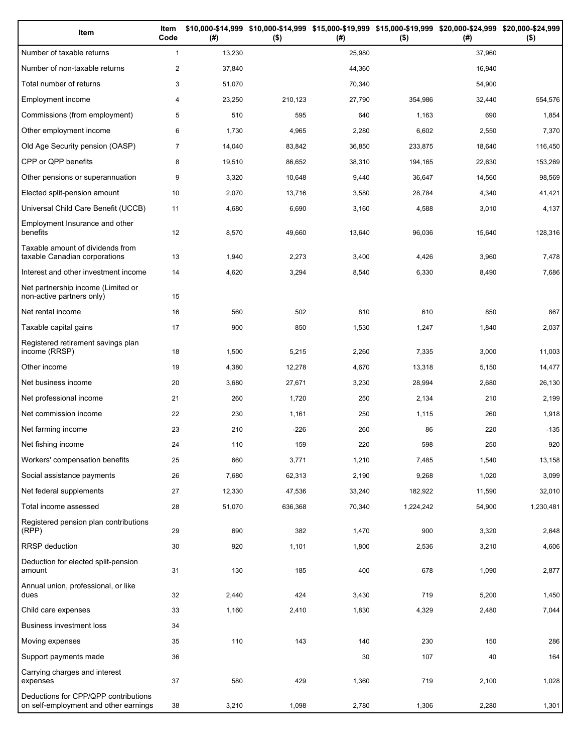| Item                                                                          | Item<br>Code   | (#)    | $($ \$) | (#)    | \$10,000-\$14,999 \$10,000-\$14,999 \$15,000-\$19,999 \$15,000-\$19,999 \$20,000-\$24,999 \$20,000-\$24,999<br>$($ \$) | (#)    | $($ \$)   |
|-------------------------------------------------------------------------------|----------------|--------|---------|--------|------------------------------------------------------------------------------------------------------------------------|--------|-----------|
| Number of taxable returns                                                     | $\mathbf{1}$   | 13,230 |         | 25,980 |                                                                                                                        | 37,960 |           |
| Number of non-taxable returns                                                 | $\overline{2}$ | 37,840 |         | 44,360 |                                                                                                                        | 16,940 |           |
| Total number of returns                                                       | 3              | 51,070 |         | 70,340 |                                                                                                                        | 54,900 |           |
| Employment income                                                             | 4              | 23,250 | 210,123 | 27,790 | 354,986                                                                                                                | 32,440 | 554,576   |
| Commissions (from employment)                                                 | 5              | 510    | 595     | 640    | 1,163                                                                                                                  | 690    | 1,854     |
| Other employment income                                                       | 6              | 1,730  | 4,965   | 2,280  | 6,602                                                                                                                  | 2,550  | 7,370     |
| Old Age Security pension (OASP)                                               | $\overline{7}$ | 14,040 | 83,842  | 36,850 | 233,875                                                                                                                | 18,640 | 116,450   |
| CPP or QPP benefits                                                           | 8              | 19,510 | 86,652  | 38,310 | 194,165                                                                                                                | 22,630 | 153,269   |
| Other pensions or superannuation                                              | 9              | 3,320  | 10,648  | 9,440  | 36,647                                                                                                                 | 14,560 | 98,569    |
| Elected split-pension amount                                                  | 10             | 2,070  | 13,716  | 3,580  | 28,784                                                                                                                 | 4,340  | 41,421    |
| Universal Child Care Benefit (UCCB)                                           | 11             | 4,680  | 6,690   | 3,160  | 4,588                                                                                                                  | 3,010  | 4,137     |
| Employment Insurance and other<br>benefits                                    | 12             | 8,570  | 49,660  | 13,640 | 96,036                                                                                                                 | 15,640 | 128,316   |
| Taxable amount of dividends from<br>taxable Canadian corporations             | 13             | 1,940  | 2,273   | 3,400  | 4,426                                                                                                                  | 3,960  | 7,478     |
| Interest and other investment income                                          | 14             | 4,620  | 3,294   | 8,540  | 6,330                                                                                                                  | 8,490  | 7,686     |
| Net partnership income (Limited or<br>non-active partners only)               | 15             |        |         |        |                                                                                                                        |        |           |
| Net rental income                                                             | 16             | 560    | 502     | 810    | 610                                                                                                                    | 850    | 867       |
| Taxable capital gains                                                         | 17             | 900    | 850     | 1,530  | 1,247                                                                                                                  | 1,840  | 2,037     |
| Registered retirement savings plan<br>income (RRSP)                           | 18             | 1,500  | 5,215   | 2,260  | 7,335                                                                                                                  | 3,000  | 11,003    |
| Other income                                                                  | 19             | 4,380  | 12,278  | 4,670  | 13,318                                                                                                                 | 5,150  | 14,477    |
| Net business income                                                           | 20             | 3,680  | 27,671  | 3,230  | 28,994                                                                                                                 | 2,680  | 26,130    |
| Net professional income                                                       | 21             | 260    | 1,720   | 250    | 2,134                                                                                                                  | 210    | 2,199     |
| Net commission income                                                         | 22             | 230    | 1,161   | 250    | 1,115                                                                                                                  | 260    | 1,918     |
| Net farming income                                                            | 23             | 210    | -226    | 260    | 86                                                                                                                     | 220    | $-135$    |
| Net fishing income                                                            | 24             | 110    | 159     | 220    | 598                                                                                                                    | 250    | 920       |
| Workers' compensation benefits                                                | 25             | 660    | 3,771   | 1,210  | 7,485                                                                                                                  | 1,540  | 13,158    |
| Social assistance payments                                                    | 26             | 7,680  | 62,313  | 2,190  | 9,268                                                                                                                  | 1,020  | 3,099     |
| Net federal supplements                                                       | 27             | 12,330 | 47,536  | 33,240 | 182,922                                                                                                                | 11,590 | 32,010    |
| Total income assessed                                                         | 28             | 51,070 | 636,368 | 70,340 | 1,224,242                                                                                                              | 54,900 | 1,230,481 |
| Registered pension plan contributions<br>(RPP)                                | 29             | 690    | 382     | 1,470  | 900                                                                                                                    | 3,320  | 2,648     |
| RRSP deduction                                                                | 30             | 920    | 1,101   | 1,800  | 2,536                                                                                                                  | 3,210  | 4,606     |
| Deduction for elected split-pension<br>amount                                 | 31             | 130    | 185     | 400    | 678                                                                                                                    | 1,090  | 2,877     |
| Annual union, professional, or like<br>dues                                   | 32             | 2,440  | 424     | 3,430  | 719                                                                                                                    | 5,200  | 1,450     |
| Child care expenses                                                           | 33             | 1,160  | 2,410   | 1,830  | 4,329                                                                                                                  | 2,480  | 7,044     |
| Business investment loss                                                      | 34             |        |         |        |                                                                                                                        |        |           |
| Moving expenses                                                               | 35             | 110    | 143     | 140    | 230                                                                                                                    | 150    | 286       |
| Support payments made                                                         | 36             |        |         | 30     | 107                                                                                                                    | 40     | 164       |
| Carrying charges and interest<br>expenses                                     | 37             | 580    | 429     | 1,360  | 719                                                                                                                    | 2,100  | 1,028     |
| Deductions for CPP/QPP contributions<br>on self-employment and other earnings | 38             | 3,210  | 1,098   | 2,780  | 1,306                                                                                                                  | 2,280  | 1,301     |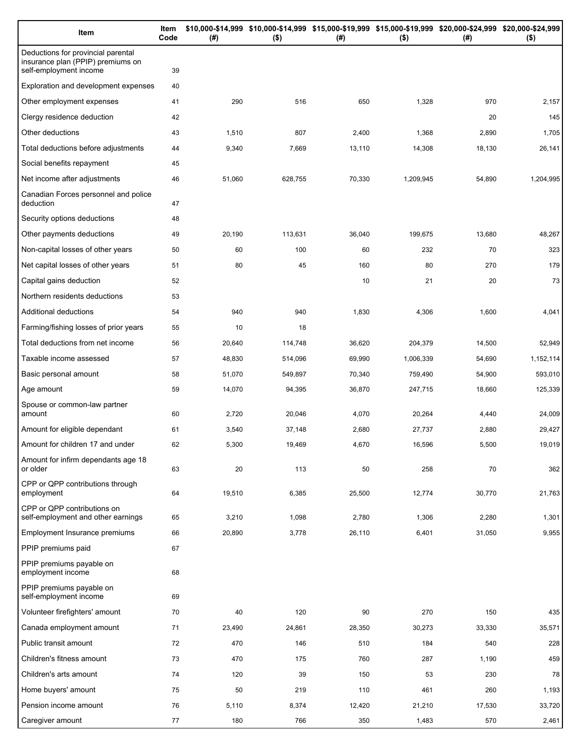| Item                                                                                              | Item<br>Code | (# )   | \$10,000-\$14,999 \$10,000-\$14,999 \$15,000-\$19,999 \$15,000-\$19,999 \$20,000-\$24,999 \$20,000-\$24,999<br>$($ \$) | (# )   | $($ \$)   | (# )   | $($ \$)   |
|---------------------------------------------------------------------------------------------------|--------------|--------|------------------------------------------------------------------------------------------------------------------------|--------|-----------|--------|-----------|
| Deductions for provincial parental<br>insurance plan (PPIP) premiums on<br>self-employment income | 39           |        |                                                                                                                        |        |           |        |           |
| Exploration and development expenses                                                              | 40           |        |                                                                                                                        |        |           |        |           |
| Other employment expenses                                                                         | 41           | 290    | 516                                                                                                                    | 650    | 1,328     | 970    | 2,157     |
| Clergy residence deduction                                                                        | 42           |        |                                                                                                                        |        |           | 20     | 145       |
| Other deductions                                                                                  | 43           | 1,510  | 807                                                                                                                    | 2,400  | 1,368     | 2,890  | 1,705     |
| Total deductions before adjustments                                                               | 44           | 9,340  | 7,669                                                                                                                  | 13,110 | 14,308    | 18,130 | 26,141    |
| Social benefits repayment                                                                         | 45           |        |                                                                                                                        |        |           |        |           |
| Net income after adjustments                                                                      | 46           | 51,060 | 628,755                                                                                                                | 70,330 | 1,209,945 | 54,890 | 1,204,995 |
| Canadian Forces personnel and police<br>deduction                                                 | 47           |        |                                                                                                                        |        |           |        |           |
| Security options deductions                                                                       | 48           |        |                                                                                                                        |        |           |        |           |
| Other payments deductions                                                                         | 49           | 20,190 | 113,631                                                                                                                | 36,040 | 199,675   | 13,680 | 48,267    |
| Non-capital losses of other years                                                                 | 50           | 60     | 100                                                                                                                    | 60     | 232       | 70     | 323       |
| Net capital losses of other years                                                                 | 51           | 80     | 45                                                                                                                     | 160    | 80        | 270    | 179       |
| Capital gains deduction                                                                           | 52           |        |                                                                                                                        | 10     | 21        | 20     | 73        |
| Northern residents deductions                                                                     | 53           |        |                                                                                                                        |        |           |        |           |
| Additional deductions                                                                             | 54           | 940    | 940                                                                                                                    | 1,830  | 4,306     | 1,600  | 4,041     |
| Farming/fishing losses of prior years                                                             | 55           | 10     | 18                                                                                                                     |        |           |        |           |
| Total deductions from net income                                                                  | 56           | 20,640 | 114,748                                                                                                                | 36,620 | 204,379   | 14,500 | 52,949    |
| Taxable income assessed                                                                           | 57           | 48,830 | 514,096                                                                                                                | 69,990 | 1,006,339 | 54,690 | 1,152,114 |
| Basic personal amount                                                                             | 58           | 51,070 | 549,897                                                                                                                | 70,340 | 759,490   | 54,900 | 593,010   |
| Age amount                                                                                        | 59           | 14,070 | 94,395                                                                                                                 | 36,870 | 247,715   | 18,660 | 125,339   |
| Spouse or common-law partner<br>amount                                                            | 60           | 2,720  | 20,046                                                                                                                 | 4,070  | 20,264    | 4,440  | 24,009    |
| Amount for eligible dependant                                                                     | 61           | 3,540  | 37,148                                                                                                                 | 2,680  | 27,737    | 2,880  | 29,427    |
| Amount for children 17 and under                                                                  | 62           | 5,300  | 19.469                                                                                                                 | 4,670  | 16,596    | 5,500  | 19,019    |
| Amount for infirm dependants age 18<br>or older                                                   | 63           | 20     | 113                                                                                                                    | 50     | 258       | 70     | 362       |
| CPP or QPP contributions through<br>employment                                                    | 64           | 19,510 | 6,385                                                                                                                  | 25,500 | 12,774    | 30,770 | 21,763    |
| CPP or QPP contributions on<br>self-employment and other earnings                                 | 65           | 3,210  | 1,098                                                                                                                  | 2,780  | 1,306     | 2,280  | 1,301     |
| <b>Employment Insurance premiums</b>                                                              | 66           | 20,890 | 3,778                                                                                                                  | 26,110 | 6,401     | 31,050 | 9,955     |
| PPIP premiums paid                                                                                | 67           |        |                                                                                                                        |        |           |        |           |
| PPIP premiums payable on<br>employment income                                                     | 68           |        |                                                                                                                        |        |           |        |           |
| PPIP premiums payable on<br>self-employment income                                                | 69           |        |                                                                                                                        |        |           |        |           |
| Volunteer firefighters' amount                                                                    | 70           | 40     | 120                                                                                                                    | 90     | 270       | 150    | 435       |
| Canada employment amount                                                                          | 71           | 23,490 | 24,861                                                                                                                 | 28,350 | 30,273    | 33,330 | 35,571    |
| Public transit amount                                                                             | 72           | 470    | 146                                                                                                                    | 510    | 184       | 540    | 228       |
| Children's fitness amount                                                                         | 73           | 470    | 175                                                                                                                    | 760    | 287       | 1,190  | 459       |
| Children's arts amount                                                                            | 74           | 120    | 39                                                                                                                     | 150    | 53        | 230    | 78        |
| Home buyers' amount                                                                               | 75           | 50     | 219                                                                                                                    | 110    | 461       | 260    | 1,193     |
| Pension income amount                                                                             | 76           | 5,110  | 8,374                                                                                                                  | 12,420 | 21,210    | 17,530 | 33,720    |
| Caregiver amount                                                                                  | 77           | 180    | 766                                                                                                                    | 350    | 1,483     | 570    | 2,461     |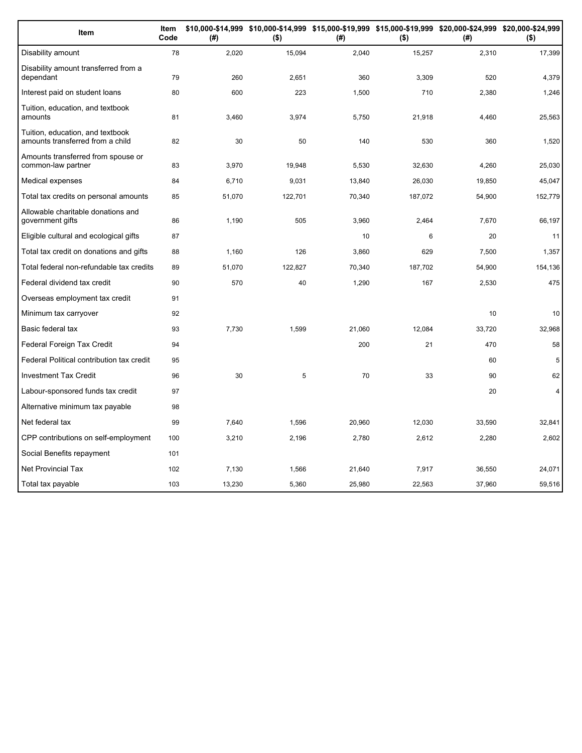| Item                                                                 | Item<br>Code | (#)    | \$10,000-\$14,999 \$10,000-\$14,999 \$15,000-\$19,999 \$15,000-\$19,999 \$20,000-\$24,999 \$20,000-\$24,999<br>$($ \$) | (#)    | $($ \$) | (#)    | $($ \$)         |
|----------------------------------------------------------------------|--------------|--------|------------------------------------------------------------------------------------------------------------------------|--------|---------|--------|-----------------|
| Disability amount                                                    | 78           | 2,020  | 15,094                                                                                                                 | 2,040  | 15,257  | 2,310  | 17,399          |
| Disability amount transferred from a<br>dependant                    | 79           | 260    | 2,651                                                                                                                  | 360    | 3.309   | 520    | 4,379           |
| Interest paid on student loans                                       | 80           | 600    | 223                                                                                                                    | 1,500  | 710     | 2,380  | 1,246           |
| Tuition, education, and textbook<br>amounts                          | 81           | 3,460  | 3,974                                                                                                                  | 5,750  | 21,918  | 4,460  | 25,563          |
| Tuition, education, and textbook<br>amounts transferred from a child | 82           | 30     | 50                                                                                                                     | 140    | 530     | 360    | 1,520           |
| Amounts transferred from spouse or<br>common-law partner             | 83           | 3,970  | 19,948                                                                                                                 | 5,530  | 32,630  | 4,260  | 25,030          |
| Medical expenses                                                     | 84           | 6,710  | 9,031                                                                                                                  | 13,840 | 26,030  | 19,850 | 45,047          |
| Total tax credits on personal amounts                                | 85           | 51,070 | 122,701                                                                                                                | 70,340 | 187,072 | 54,900 | 152,779         |
| Allowable charitable donations and<br>government gifts               | 86           | 1,190  | 505                                                                                                                    | 3,960  | 2,464   | 7,670  | 66,197          |
| Eligible cultural and ecological gifts                               | 87           |        |                                                                                                                        | 10     | 6       | 20     | 11              |
| Total tax credit on donations and gifts                              | 88           | 1.160  | 126                                                                                                                    | 3,860  | 629     | 7.500  | 1,357           |
| Total federal non-refundable tax credits                             | 89           | 51,070 | 122,827                                                                                                                | 70,340 | 187,702 | 54,900 | 154,136         |
| Federal dividend tax credit                                          | 90           | 570    | 40                                                                                                                     | 1,290  | 167     | 2,530  | 475             |
| Overseas employment tax credit                                       | 91           |        |                                                                                                                        |        |         |        |                 |
| Minimum tax carryover                                                | 92           |        |                                                                                                                        |        |         | 10     | 10 <sup>°</sup> |
| Basic federal tax                                                    | 93           | 7,730  | 1,599                                                                                                                  | 21,060 | 12,084  | 33,720 | 32,968          |
| Federal Foreign Tax Credit                                           | 94           |        |                                                                                                                        | 200    | 21      | 470    | 58              |
| Federal Political contribution tax credit                            | 95           |        |                                                                                                                        |        |         | 60     | 5               |
| <b>Investment Tax Credit</b>                                         | 96           | 30     | 5                                                                                                                      | 70     | 33      | 90     | 62              |
| Labour-sponsored funds tax credit                                    | 97           |        |                                                                                                                        |        |         | 20     | $\overline{4}$  |
| Alternative minimum tax payable                                      | 98           |        |                                                                                                                        |        |         |        |                 |
| Net federal tax                                                      | 99           | 7,640  | 1,596                                                                                                                  | 20,960 | 12,030  | 33,590 | 32,841          |
| CPP contributions on self-employment                                 | 100          | 3,210  | 2,196                                                                                                                  | 2,780  | 2,612   | 2,280  | 2,602           |
| Social Benefits repayment                                            | 101          |        |                                                                                                                        |        |         |        |                 |
| <b>Net Provincial Tax</b>                                            | 102          | 7,130  | 1,566                                                                                                                  | 21,640 | 7,917   | 36,550 | 24,071          |
| Total tax payable                                                    | 103          | 13,230 | 5,360                                                                                                                  | 25,980 | 22,563  | 37,960 | 59,516          |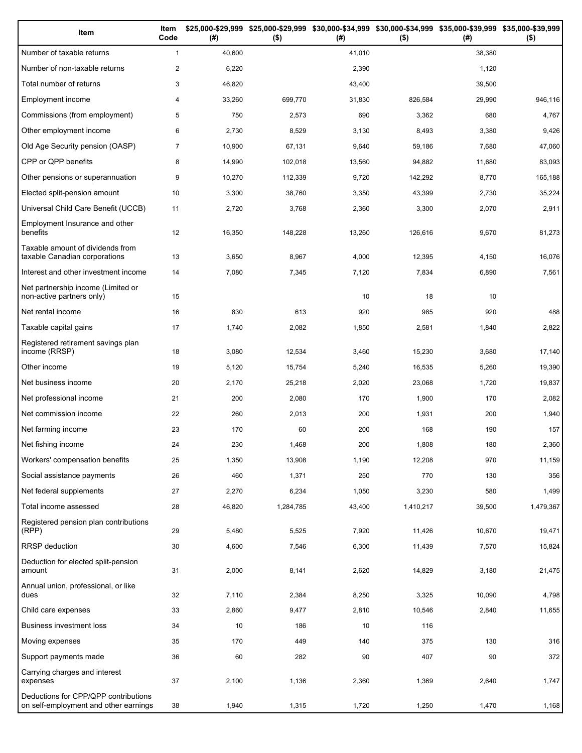| Item                                                                          | Item<br>Code   | (#)    | \$25,000-\$29,999 \$25,000-\$29,999<br>$($ \$) | (#)    | \$30,000-\$34,999 \$30,000-\$34,999 \$35,000-\$39,999 \$35,000-\$39,999<br>$($ \$) | (# )   | $($ \$)   |
|-------------------------------------------------------------------------------|----------------|--------|------------------------------------------------|--------|------------------------------------------------------------------------------------|--------|-----------|
| Number of taxable returns                                                     | $\mathbf{1}$   | 40,600 |                                                | 41,010 |                                                                                    | 38,380 |           |
| Number of non-taxable returns                                                 | $\mathbf{2}$   | 6,220  |                                                | 2,390  |                                                                                    | 1,120  |           |
| Total number of returns                                                       | 3              | 46,820 |                                                | 43,400 |                                                                                    | 39,500 |           |
| Employment income                                                             | 4              | 33,260 | 699,770                                        | 31,830 | 826,584                                                                            | 29,990 | 946,116   |
| Commissions (from employment)                                                 | 5              | 750    | 2,573                                          | 690    | 3,362                                                                              | 680    | 4,767     |
| Other employment income                                                       | 6              | 2,730  | 8,529                                          | 3,130  | 8,493                                                                              | 3,380  | 9,426     |
| Old Age Security pension (OASP)                                               | $\overline{7}$ | 10,900 | 67,131                                         | 9,640  | 59,186                                                                             | 7,680  | 47,060    |
| CPP or QPP benefits                                                           | 8              | 14,990 | 102,018                                        | 13,560 | 94,882                                                                             | 11,680 | 83,093    |
| Other pensions or superannuation                                              | 9              | 10,270 | 112,339                                        | 9,720  | 142,292                                                                            | 8,770  | 165,188   |
| Elected split-pension amount                                                  | 10             | 3,300  | 38,760                                         | 3,350  | 43,399                                                                             | 2,730  | 35,224    |
| Universal Child Care Benefit (UCCB)                                           | 11             | 2,720  | 3,768                                          | 2,360  | 3,300                                                                              | 2,070  | 2,911     |
| Employment Insurance and other<br>benefits                                    | 12             | 16,350 | 148,228                                        | 13,260 | 126,616                                                                            | 9,670  | 81,273    |
| Taxable amount of dividends from<br>taxable Canadian corporations             | 13             | 3,650  | 8,967                                          | 4,000  | 12,395                                                                             | 4,150  | 16,076    |
| Interest and other investment income                                          | 14             | 7,080  | 7,345                                          | 7,120  | 7,834                                                                              | 6,890  | 7,561     |
| Net partnership income (Limited or<br>non-active partners only)               | 15             |        |                                                | 10     | 18                                                                                 | 10     |           |
| Net rental income                                                             | 16             | 830    | 613                                            | 920    | 985                                                                                | 920    | 488       |
| Taxable capital gains                                                         | 17             | 1,740  | 2,082                                          | 1,850  | 2,581                                                                              | 1,840  | 2,822     |
| Registered retirement savings plan<br>income (RRSP)                           | 18             | 3,080  | 12,534                                         | 3,460  | 15,230                                                                             | 3,680  | 17,140    |
| Other income                                                                  | 19             | 5,120  | 15,754                                         | 5,240  | 16,535                                                                             | 5,260  | 19,390    |
| Net business income                                                           | 20             | 2,170  | 25,218                                         | 2,020  | 23,068                                                                             | 1,720  | 19,837    |
| Net professional income                                                       | 21             | 200    | 2,080                                          | 170    | 1,900                                                                              | 170    | 2,082     |
| Net commission income                                                         | 22             | 260    | 2,013                                          | 200    | 1,931                                                                              | 200    | 1,940     |
| Net farming income                                                            | 23             | 170    | 60                                             | 200    | 168                                                                                | 190    | 157       |
| Net fishing income                                                            | 24             | 230    | 1,468                                          | 200    | 1,808                                                                              | 180    | 2,360     |
| Workers' compensation benefits                                                | 25             | 1,350  | 13,908                                         | 1,190  | 12,208                                                                             | 970    | 11,159    |
| Social assistance payments                                                    | 26             | 460    | 1,371                                          | 250    | 770                                                                                | 130    | 356       |
| Net federal supplements                                                       | 27             | 2,270  | 6,234                                          | 1,050  | 3,230                                                                              | 580    | 1,499     |
| Total income assessed                                                         | 28             | 46,820 | 1,284,785                                      | 43,400 | 1,410,217                                                                          | 39,500 | 1,479,367 |
| Registered pension plan contributions<br>(RPP)                                | 29             | 5,480  | 5,525                                          | 7,920  | 11,426                                                                             | 10,670 | 19,471    |
| RRSP deduction                                                                | 30             | 4,600  | 7,546                                          | 6,300  | 11,439                                                                             | 7,570  | 15,824    |
| Deduction for elected split-pension<br>amount                                 | 31             | 2,000  | 8,141                                          | 2,620  | 14,829                                                                             | 3,180  | 21,475    |
| Annual union, professional, or like<br>dues                                   | 32             | 7,110  | 2,384                                          | 8,250  | 3,325                                                                              | 10,090 | 4,798     |
| Child care expenses                                                           | 33             | 2,860  | 9,477                                          | 2,810  | 10,546                                                                             | 2,840  | 11,655    |
| Business investment loss                                                      | 34             | 10     | 186                                            | 10     | 116                                                                                |        |           |
| Moving expenses                                                               | 35             | 170    | 449                                            | 140    | 375                                                                                | 130    | 316       |
| Support payments made                                                         | 36             | 60     | 282                                            | 90     | 407                                                                                | 90     | 372       |
| Carrying charges and interest<br>expenses                                     | 37             | 2,100  | 1,136                                          | 2,360  | 1,369                                                                              | 2,640  | 1,747     |
| Deductions for CPP/QPP contributions<br>on self-employment and other earnings | 38             | 1,940  | 1,315                                          | 1,720  | 1,250                                                                              | 1,470  | 1,168     |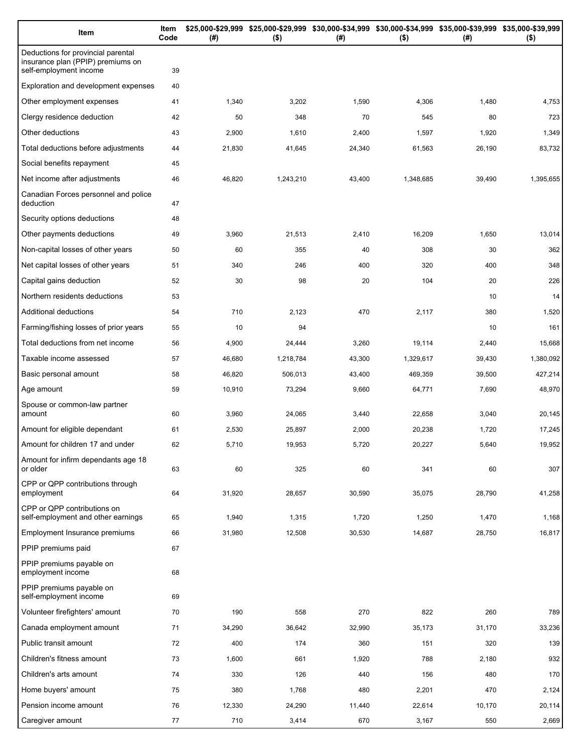| Item                                                                                              | Item<br>Code | (# )   | \$25,000-\$29,999 \$25,000-\$29,999 \$30,000-\$34,999 \$30,000-\$34,999 \$35,000-\$39,999 \$35,000-\$39,999<br>$($ \$) | (# )   | $($ \$)   | (# )   | $($ \$)   |
|---------------------------------------------------------------------------------------------------|--------------|--------|------------------------------------------------------------------------------------------------------------------------|--------|-----------|--------|-----------|
| Deductions for provincial parental<br>insurance plan (PPIP) premiums on<br>self-employment income | 39           |        |                                                                                                                        |        |           |        |           |
| Exploration and development expenses                                                              | 40           |        |                                                                                                                        |        |           |        |           |
| Other employment expenses                                                                         | 41           | 1,340  | 3,202                                                                                                                  | 1,590  | 4,306     | 1,480  | 4,753     |
| Clergy residence deduction                                                                        | 42           | 50     | 348                                                                                                                    | 70     | 545       | 80     | 723       |
| Other deductions                                                                                  | 43           | 2,900  | 1,610                                                                                                                  | 2,400  | 1,597     | 1,920  | 1,349     |
| Total deductions before adjustments                                                               | 44           | 21,830 | 41,645                                                                                                                 | 24,340 | 61,563    | 26,190 | 83,732    |
| Social benefits repayment                                                                         | 45           |        |                                                                                                                        |        |           |        |           |
| Net income after adjustments                                                                      | 46           | 46,820 | 1,243,210                                                                                                              | 43,400 | 1,348,685 | 39,490 | 1,395,655 |
| Canadian Forces personnel and police<br>deduction                                                 | 47           |        |                                                                                                                        |        |           |        |           |
| Security options deductions                                                                       | 48           |        |                                                                                                                        |        |           |        |           |
| Other payments deductions                                                                         | 49           | 3,960  | 21,513                                                                                                                 | 2,410  | 16,209    | 1,650  | 13,014    |
| Non-capital losses of other years                                                                 | 50           | 60     | 355                                                                                                                    | 40     | 308       | 30     | 362       |
| Net capital losses of other years                                                                 | 51           | 340    | 246                                                                                                                    | 400    | 320       | 400    | 348       |
| Capital gains deduction                                                                           | 52           | 30     | 98                                                                                                                     | 20     | 104       | 20     | 226       |
| Northern residents deductions                                                                     | 53           |        |                                                                                                                        |        |           | 10     | 14        |
| Additional deductions                                                                             | 54           | 710    | 2,123                                                                                                                  | 470    | 2,117     | 380    | 1,520     |
| Farming/fishing losses of prior years                                                             | 55           | 10     | 94                                                                                                                     |        |           | 10     | 161       |
| Total deductions from net income                                                                  | 56           | 4,900  | 24,444                                                                                                                 | 3,260  | 19,114    | 2,440  | 15,668    |
| Taxable income assessed                                                                           | 57           | 46,680 | 1,218,784                                                                                                              | 43,300 | 1,329,617 | 39,430 | 1,380,092 |
| Basic personal amount                                                                             | 58           | 46,820 | 506,013                                                                                                                | 43,400 | 469,359   | 39,500 | 427,214   |
| Age amount                                                                                        | 59           | 10,910 | 73,294                                                                                                                 | 9,660  | 64,771    | 7,690  | 48,970    |
| Spouse or common-law partner<br>amount                                                            | 60           | 3,960  | 24,065                                                                                                                 | 3,440  | 22,658    | 3,040  | 20,145    |
| Amount for eligible dependant                                                                     | 61           | 2,530  | 25,897                                                                                                                 | 2,000  | 20,238    | 1,720  | 17,245    |
| Amount for children 17 and under                                                                  | 62           | 5,710  | 19,953                                                                                                                 | 5,720  | 20,227    | 5,640  | 19,952    |
| Amount for infirm dependants age 18<br>or older                                                   | 63           | 60     | 325                                                                                                                    | 60     | 341       | 60     | 307       |
| CPP or QPP contributions through<br>employment                                                    | 64           | 31,920 | 28,657                                                                                                                 | 30,590 | 35,075    | 28,790 | 41,258    |
| CPP or QPP contributions on<br>self-employment and other earnings                                 | 65           | 1,940  | 1,315                                                                                                                  | 1,720  | 1,250     | 1,470  | 1,168     |
| Employment Insurance premiums                                                                     | 66           | 31,980 | 12,508                                                                                                                 | 30,530 | 14,687    | 28,750 | 16,817    |
| PPIP premiums paid                                                                                | 67           |        |                                                                                                                        |        |           |        |           |
| PPIP premiums payable on<br>employment income                                                     | 68           |        |                                                                                                                        |        |           |        |           |
| PPIP premiums payable on<br>self-employment income                                                | 69           |        |                                                                                                                        |        |           |        |           |
| Volunteer firefighters' amount                                                                    | 70           | 190    | 558                                                                                                                    | 270    | 822       | 260    | 789       |
| Canada employment amount                                                                          | 71           | 34,290 | 36,642                                                                                                                 | 32,990 | 35,173    | 31,170 | 33,236    |
| Public transit amount                                                                             | 72           | 400    | 174                                                                                                                    | 360    | 151       | 320    | 139       |
| Children's fitness amount                                                                         | 73           | 1,600  | 661                                                                                                                    | 1,920  | 788       | 2,180  | 932       |
| Children's arts amount                                                                            | 74           | 330    | 126                                                                                                                    | 440    | 156       | 480    | 170       |
| Home buyers' amount                                                                               | 75           | 380    | 1,768                                                                                                                  | 480    | 2,201     | 470    | 2,124     |
| Pension income amount                                                                             | 76           | 12,330 | 24,290                                                                                                                 | 11,440 | 22,614    | 10,170 | 20,114    |
| Caregiver amount                                                                                  | 77           | 710    | 3,414                                                                                                                  | 670    | 3,167     | 550    | 2,669     |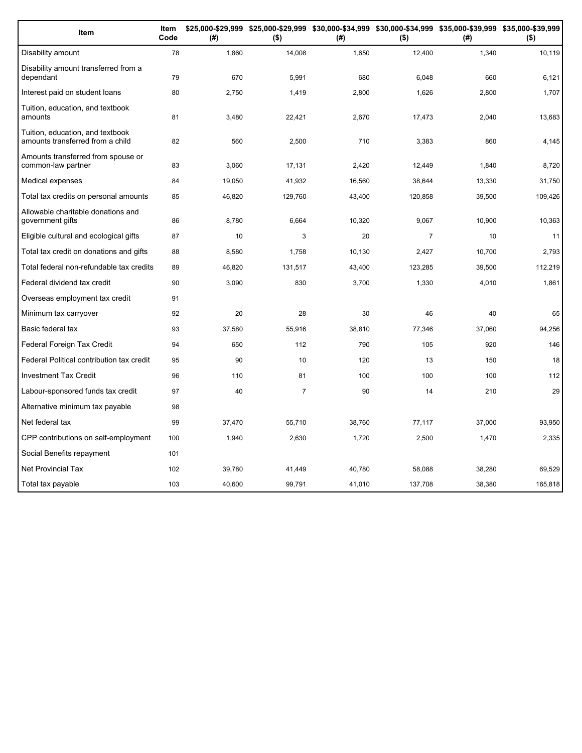| Item                                                                 | Item<br>Code | (#)    | $($ \$)        | (#)    | $($ \$)        | \$25,000-\$29,999 \$25,000-\$29,999 \$30,000-\$34,999 \$30,000-\$34,999 \$35,000-\$39,999 \$35,000-\$39,999<br>(#) | $($ \$) |
|----------------------------------------------------------------------|--------------|--------|----------------|--------|----------------|--------------------------------------------------------------------------------------------------------------------|---------|
| Disability amount                                                    | 78           | 1,860  | 14,008         | 1,650  | 12,400         | 1,340                                                                                                              | 10,119  |
| Disability amount transferred from a<br>dependant                    | 79           | 670    | 5,991          | 680    | 6,048          | 660                                                                                                                | 6,121   |
| Interest paid on student loans                                       | 80           | 2,750  | 1,419          | 2,800  | 1,626          | 2,800                                                                                                              | 1,707   |
| Tuition, education, and textbook<br>amounts                          | 81           | 3,480  | 22,421         | 2,670  | 17,473         | 2,040                                                                                                              | 13,683  |
| Tuition, education, and textbook<br>amounts transferred from a child | 82           | 560    | 2,500          | 710    | 3,383          | 860                                                                                                                | 4,145   |
| Amounts transferred from spouse or<br>common-law partner             | 83           | 3,060  | 17,131         | 2,420  | 12,449         | 1,840                                                                                                              | 8,720   |
| Medical expenses                                                     | 84           | 19,050 | 41,932         | 16,560 | 38,644         | 13,330                                                                                                             | 31,750  |
| Total tax credits on personal amounts                                | 85           | 46,820 | 129,760        | 43,400 | 120,858        | 39,500                                                                                                             | 109,426 |
| Allowable charitable donations and<br>government gifts               | 86           | 8,780  | 6,664          | 10,320 | 9,067          | 10,900                                                                                                             | 10,363  |
| Eligible cultural and ecological gifts                               | 87           | 10     | 3              | 20     | $\overline{7}$ | 10                                                                                                                 | 11      |
| Total tax credit on donations and gifts                              | 88           | 8,580  | 1,758          | 10,130 | 2,427          | 10,700                                                                                                             | 2,793   |
| Total federal non-refundable tax credits                             | 89           | 46,820 | 131,517        | 43,400 | 123,285        | 39,500                                                                                                             | 112,219 |
| Federal dividend tax credit                                          | 90           | 3,090  | 830            | 3,700  | 1,330          | 4,010                                                                                                              | 1,861   |
| Overseas employment tax credit                                       | 91           |        |                |        |                |                                                                                                                    |         |
| Minimum tax carryover                                                | 92           | 20     | 28             | 30     | 46             | 40                                                                                                                 | 65      |
| Basic federal tax                                                    | 93           | 37,580 | 55,916         | 38,810 | 77,346         | 37,060                                                                                                             | 94,256  |
| Federal Foreign Tax Credit                                           | 94           | 650    | 112            | 790    | 105            | 920                                                                                                                | 146     |
| Federal Political contribution tax credit                            | 95           | 90     | 10             | 120    | 13             | 150                                                                                                                | 18      |
| <b>Investment Tax Credit</b>                                         | 96           | 110    | 81             | 100    | 100            | 100                                                                                                                | 112     |
| Labour-sponsored funds tax credit                                    | 97           | 40     | $\overline{7}$ | 90     | 14             | 210                                                                                                                | 29      |
| Alternative minimum tax payable                                      | 98           |        |                |        |                |                                                                                                                    |         |
| Net federal tax                                                      | 99           | 37,470 | 55,710         | 38,760 | 77,117         | 37,000                                                                                                             | 93,950  |
| CPP contributions on self-employment                                 | 100          | 1,940  | 2,630          | 1,720  | 2,500          | 1,470                                                                                                              | 2,335   |
| Social Benefits repayment                                            | 101          |        |                |        |                |                                                                                                                    |         |
| <b>Net Provincial Tax</b>                                            | 102          | 39,780 | 41,449         | 40,780 | 58,088         | 38,280                                                                                                             | 69,529  |
| Total tax payable                                                    | 103          | 40,600 | 99,791         | 41,010 | 137,708        | 38,380                                                                                                             | 165,818 |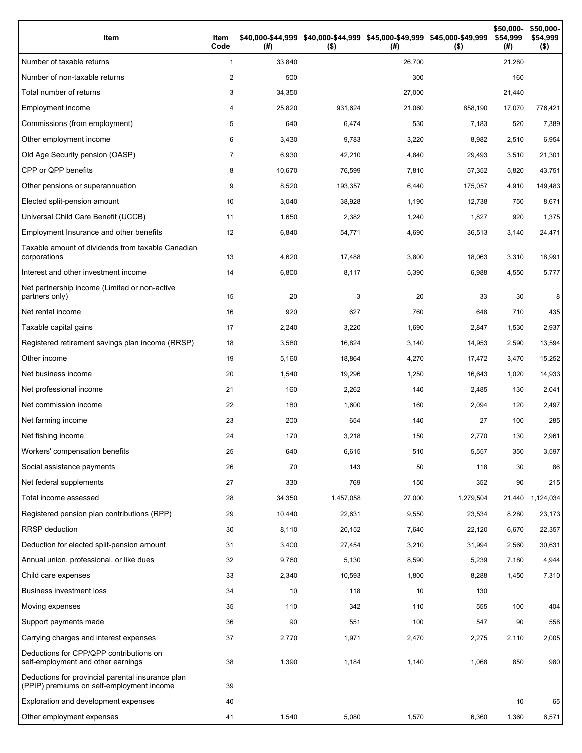| Item                                                                                           | Item<br>Code   | (#)    | \$40,000-\$44,999 \$40,000-\$44,999 \$45,000-\$49,999 \$45,000-\$49,999<br>$($ \$) | (# )   | $($ \$)   | \$50,000-<br>\$54,999<br>(#) | \$50,000-<br>\$54,999<br>$($ \$) |
|------------------------------------------------------------------------------------------------|----------------|--------|------------------------------------------------------------------------------------|--------|-----------|------------------------------|----------------------------------|
| Number of taxable returns                                                                      | $\mathbf{1}$   | 33,840 |                                                                                    | 26,700 |           | 21,280                       |                                  |
| Number of non-taxable returns                                                                  | 2              | 500    |                                                                                    | 300    |           | 160                          |                                  |
| Total number of returns                                                                        | 3              | 34,350 |                                                                                    | 27,000 |           | 21,440                       |                                  |
| Employment income                                                                              | 4              | 25,820 | 931,624                                                                            | 21,060 | 858,190   | 17,070                       | 776,421                          |
| Commissions (from employment)                                                                  | 5              | 640    | 6,474                                                                              | 530    | 7,183     | 520                          | 7,389                            |
| Other employment income                                                                        | 6              | 3,430  | 9,783                                                                              | 3,220  | 8,982     | 2,510                        | 6,954                            |
| Old Age Security pension (OASP)                                                                | $\overline{7}$ | 6,930  | 42,210                                                                             | 4,840  | 29,493    | 3,510                        | 21,301                           |
| CPP or QPP benefits                                                                            | 8              | 10,670 | 76,599                                                                             | 7,810  | 57,352    | 5,820                        | 43,751                           |
| Other pensions or superannuation                                                               | 9              | 8,520  | 193,357                                                                            | 6,440  | 175,057   | 4,910                        | 149,483                          |
| Elected split-pension amount                                                                   | 10             | 3,040  | 38,928                                                                             | 1,190  | 12,738    | 750                          | 8,671                            |
| Universal Child Care Benefit (UCCB)                                                            | 11             | 1,650  | 2,382                                                                              | 1,240  | 1,827     | 920                          | 1,375                            |
| Employment Insurance and other benefits                                                        | 12             | 6,840  | 54,771                                                                             | 4,690  | 36,513    | 3,140                        | 24,471                           |
| Taxable amount of dividends from taxable Canadian<br>corporations                              | 13             | 4,620  | 17,488                                                                             | 3,800  | 18,063    | 3,310                        | 18,991                           |
| Interest and other investment income                                                           | 14             | 6,800  | 8,117                                                                              | 5,390  | 6,988     | 4,550                        | 5,777                            |
| Net partnership income (Limited or non-active<br>partners only)                                | 15             | 20     | $-3$                                                                               | 20     | 33        | 30                           | 8                                |
| Net rental income                                                                              | 16             | 920    | 627                                                                                | 760    | 648       | 710                          | 435                              |
| Taxable capital gains                                                                          | 17             | 2,240  | 3,220                                                                              | 1,690  | 2,847     | 1,530                        | 2,937                            |
| Registered retirement savings plan income (RRSP)                                               | 18             | 3,580  | 16,824                                                                             | 3,140  | 14,953    | 2,590                        | 13,594                           |
| Other income                                                                                   | 19             | 5,160  | 18,864                                                                             | 4,270  | 17,472    | 3,470                        | 15,252                           |
| Net business income                                                                            | 20             | 1,540  | 19,296                                                                             | 1,250  | 16,643    | 1,020                        | 14,933                           |
| Net professional income                                                                        | 21             | 160    | 2,262                                                                              | 140    | 2,485     | 130                          | 2,041                            |
| Net commission income                                                                          | 22             | 180    | 1,600                                                                              | 160    | 2,094     | 120                          | 2,497                            |
| Net farming income                                                                             | 23             | 200    | 654                                                                                | 140    | 27        | 100                          | 285                              |
| Net fishing income                                                                             | 24             | 170    | 3,218                                                                              | 150    | 2,770     | 130                          | 2,961                            |
| Workers' compensation benefits                                                                 | 25             | 640    | 6,615                                                                              | 510    | 5,557     | 350                          | 3,597                            |
| Social assistance payments                                                                     | 26             | 70     | 143                                                                                | 50     | 118       | 30                           | 86                               |
| Net federal supplements                                                                        | 27             | 330    | 769                                                                                | 150    | 352       | 90                           | 215                              |
| Total income assessed                                                                          | 28             | 34,350 | 1,457,058                                                                          | 27,000 | 1,279,504 | 21,440                       | 1,124,034                        |
| Registered pension plan contributions (RPP)                                                    | 29             | 10,440 | 22,631                                                                             | 9,550  | 23,534    | 8,280                        | 23,173                           |
| RRSP deduction                                                                                 | 30             | 8,110  | 20,152                                                                             | 7,640  | 22,120    | 6,670                        | 22,357                           |
| Deduction for elected split-pension amount                                                     | 31             | 3,400  | 27,454                                                                             | 3,210  | 31,994    | 2,560                        | 30,631                           |
| Annual union, professional, or like dues                                                       | 32             | 9,760  | 5,130                                                                              | 8,590  | 5,239     | 7,180                        | 4,944                            |
| Child care expenses                                                                            | 33             | 2,340  | 10,593                                                                             | 1,800  | 8,288     | 1,450                        | 7,310                            |
| <b>Business investment loss</b>                                                                | 34             | 10     | 118                                                                                | 10     | 130       |                              |                                  |
| Moving expenses                                                                                | 35             | 110    | 342                                                                                | 110    | 555       | 100                          | 404                              |
| Support payments made                                                                          | 36             | 90     | 551                                                                                | 100    | 547       | 90                           | 558                              |
| Carrying charges and interest expenses                                                         | 37             | 2,770  | 1,971                                                                              | 2,470  | 2,275     | 2,110                        | 2,005                            |
| Deductions for CPP/QPP contributions on<br>self-employment and other earnings                  | 38             | 1,390  | 1,184                                                                              | 1,140  | 1,068     | 850                          | 980                              |
| Deductions for provincial parental insurance plan<br>(PPIP) premiums on self-employment income | 39             |        |                                                                                    |        |           |                              |                                  |
| Exploration and development expenses                                                           | 40             |        |                                                                                    |        |           | 10                           | 65                               |
| Other employment expenses                                                                      | 41             | 1,540  | 5,080                                                                              | 1,570  | 6,360     | 1,360                        | 6,571                            |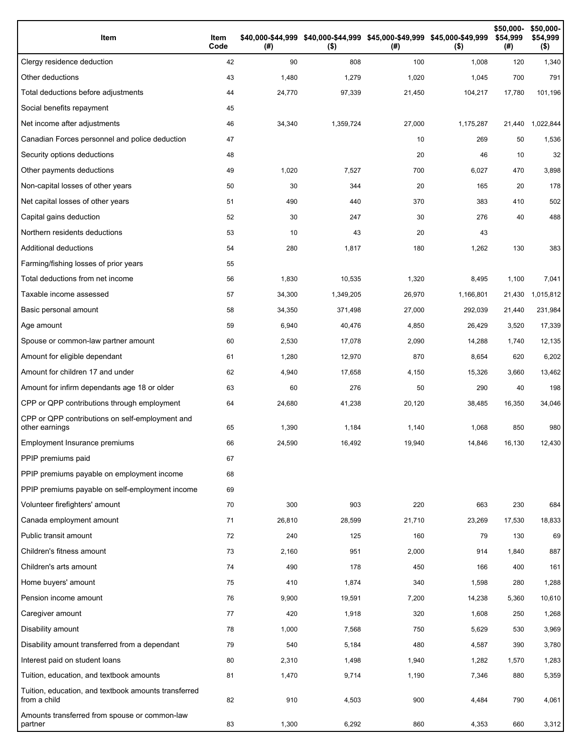| Item                                                                 | Item<br>Code | (#)    | \$40,000-\$44,999 \$40,000-\$44,999 \$45,000-\$49,999 \$45,000-\$49,999<br>$($ \$) | (#)    | $($ \$)   | \$50,000-<br>\$54,999<br>(#) | \$50,000-<br>\$54,999<br>$($ \$) |
|----------------------------------------------------------------------|--------------|--------|------------------------------------------------------------------------------------|--------|-----------|------------------------------|----------------------------------|
| Clergy residence deduction                                           | 42           | 90     | 808                                                                                | 100    | 1,008     | 120                          | 1,340                            |
| Other deductions                                                     | 43           | 1,480  | 1,279                                                                              | 1,020  | 1,045     | 700                          | 791                              |
| Total deductions before adjustments                                  | 44           | 24,770 | 97,339                                                                             | 21,450 | 104,217   | 17,780                       | 101,196                          |
| Social benefits repayment                                            | 45           |        |                                                                                    |        |           |                              |                                  |
| Net income after adjustments                                         | 46           | 34,340 | 1,359,724                                                                          | 27,000 | 1,175,287 | 21,440                       | 1,022,844                        |
| Canadian Forces personnel and police deduction                       | 47           |        |                                                                                    | 10     | 269       | 50                           | 1,536                            |
| Security options deductions                                          | 48           |        |                                                                                    | 20     | 46        | 10                           | 32                               |
| Other payments deductions                                            | 49           | 1,020  | 7,527                                                                              | 700    | 6,027     | 470                          | 3,898                            |
| Non-capital losses of other years                                    | 50           | 30     | 344                                                                                | 20     | 165       | 20                           | 178                              |
| Net capital losses of other years                                    | 51           | 490    | 440                                                                                | 370    | 383       | 410                          | 502                              |
| Capital gains deduction                                              | 52           | 30     | 247                                                                                | 30     | 276       | 40                           | 488                              |
| Northern residents deductions                                        | 53           | 10     | 43                                                                                 | 20     | 43        |                              |                                  |
| Additional deductions                                                | 54           | 280    | 1,817                                                                              | 180    | 1,262     | 130                          | 383                              |
| Farming/fishing losses of prior years                                | 55           |        |                                                                                    |        |           |                              |                                  |
| Total deductions from net income                                     | 56           | 1,830  | 10,535                                                                             | 1,320  | 8,495     | 1,100                        | 7,041                            |
| Taxable income assessed                                              | 57           | 34,300 | 1,349,205                                                                          | 26,970 | 1,166,801 | 21,430                       | 1,015,812                        |
| Basic personal amount                                                | 58           | 34,350 | 371,498                                                                            | 27,000 | 292,039   | 21,440                       | 231,984                          |
| Age amount                                                           | 59           | 6,940  | 40,476                                                                             | 4,850  | 26,429    | 3,520                        | 17,339                           |
| Spouse or common-law partner amount                                  | 60           | 2,530  | 17,078                                                                             | 2,090  | 14,288    | 1,740                        | 12,135                           |
| Amount for eligible dependant                                        | 61           | 1,280  | 12,970                                                                             | 870    | 8,654     | 620                          | 6,202                            |
| Amount for children 17 and under                                     | 62           | 4,940  | 17,658                                                                             | 4,150  | 15,326    | 3,660                        | 13,462                           |
| Amount for infirm dependants age 18 or older                         | 63           | 60     | 276                                                                                | 50     | 290       | 40                           | 198                              |
| CPP or QPP contributions through employment                          | 64           | 24,680 | 41,238                                                                             | 20,120 | 38,485    | 16,350                       | 34,046                           |
| CPP or QPP contributions on self-employment and<br>other earnings    | 65           | 1,390  | 1,184                                                                              | 1,140  | 1,068     | 850                          | 980                              |
| Employment Insurance premiums                                        | 66           | 24,590 | 16,492                                                                             | 19,940 | 14,846    | 16,130                       | 12,430                           |
| PPIP premiums paid                                                   | 67           |        |                                                                                    |        |           |                              |                                  |
| PPIP premiums payable on employment income                           | 68           |        |                                                                                    |        |           |                              |                                  |
| PPIP premiums payable on self-employment income                      | 69           |        |                                                                                    |        |           |                              |                                  |
| Volunteer firefighters' amount                                       | 70           | 300    | 903                                                                                | 220    | 663       | 230                          | 684                              |
| Canada employment amount                                             | 71           | 26,810 | 28,599                                                                             | 21,710 | 23,269    | 17,530                       | 18,833                           |
| Public transit amount                                                | 72           | 240    | 125                                                                                | 160    | 79        | 130                          | 69                               |
| Children's fitness amount                                            | 73           | 2,160  | 951                                                                                | 2,000  | 914       | 1,840                        | 887                              |
| Children's arts amount                                               | 74           | 490    | 178                                                                                | 450    | 166       | 400                          | 161                              |
| Home buyers' amount                                                  | 75           | 410    | 1,874                                                                              | 340    | 1,598     | 280                          | 1,288                            |
| Pension income amount                                                | 76           | 9,900  | 19,591                                                                             | 7,200  | 14,238    | 5,360                        | 10,610                           |
| Caregiver amount                                                     | 77           | 420    | 1,918                                                                              | 320    | 1,608     | 250                          | 1,268                            |
| Disability amount                                                    | 78           | 1,000  | 7,568                                                                              | 750    | 5,629     | 530                          | 3,969                            |
| Disability amount transferred from a dependant                       | 79           | 540    | 5,184                                                                              | 480    | 4,587     | 390                          | 3,780                            |
| Interest paid on student loans                                       | 80           | 2,310  | 1,498                                                                              | 1,940  | 1,282     | 1,570                        | 1,283                            |
| Tuition, education, and textbook amounts                             | 81           | 1,470  | 9,714                                                                              | 1,190  | 7,346     | 880                          | 5,359                            |
| Tuition, education, and textbook amounts transferred<br>from a child | 82           | 910    | 4,503                                                                              | 900    | 4,484     | 790                          | 4,061                            |
| Amounts transferred from spouse or common-law<br>partner             | 83           | 1,300  | 6,292                                                                              | 860    | 4,353     | 660                          | 3,312                            |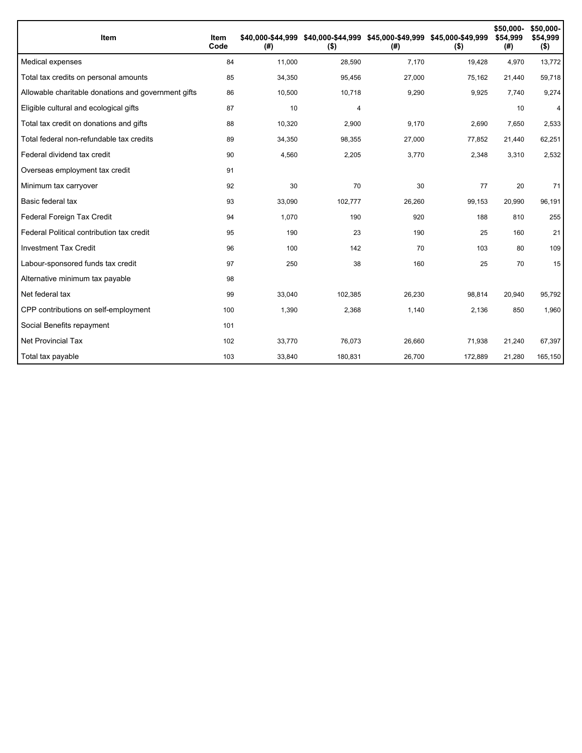| Item                                                | Item<br>Code | \$40.000-\$44.999<br>(# ) | $($ \$) | \$40,000-\$44,999 \$45,000-\$49,999 \$45,000-\$49,999<br>(#) | $($ \$) | \$50,000-<br>\$54,999<br>(#) | \$50,000-<br>\$54,999<br>$($ \$) |
|-----------------------------------------------------|--------------|---------------------------|---------|--------------------------------------------------------------|---------|------------------------------|----------------------------------|
| Medical expenses                                    | 84           | 11,000                    | 28,590  | 7,170                                                        | 19,428  | 4,970                        | 13,772                           |
| Total tax credits on personal amounts               | 85           | 34,350                    | 95,456  | 27,000                                                       | 75,162  | 21,440                       | 59,718                           |
| Allowable charitable donations and government gifts | 86           | 10,500                    | 10,718  | 9,290                                                        | 9,925   | 7,740                        | 9,274                            |
| Eligible cultural and ecological gifts              | 87           | 10                        | 4       |                                                              |         | 10                           | 4                                |
| Total tax credit on donations and gifts             | 88           | 10,320                    | 2,900   | 9,170                                                        | 2,690   | 7,650                        | 2,533                            |
| Total federal non-refundable tax credits            | 89           | 34,350                    | 98,355  | 27,000                                                       | 77,852  | 21,440                       | 62,251                           |
| Federal dividend tax credit                         | 90           | 4,560                     | 2,205   | 3,770                                                        | 2,348   | 3,310                        | 2,532                            |
| Overseas employment tax credit                      | 91           |                           |         |                                                              |         |                              |                                  |
| Minimum tax carryover                               | 92           | 30                        | 70      | 30                                                           | 77      | 20                           | 71                               |
| Basic federal tax                                   | 93           | 33,090                    | 102,777 | 26,260                                                       | 99,153  | 20,990                       | 96,191                           |
| Federal Foreign Tax Credit                          | 94           | 1,070                     | 190     | 920                                                          | 188     | 810                          | 255                              |
| Federal Political contribution tax credit           | 95           | 190                       | 23      | 190                                                          | 25      | 160                          | 21                               |
| <b>Investment Tax Credit</b>                        | 96           | 100                       | 142     | 70                                                           | 103     | 80                           | 109                              |
| Labour-sponsored funds tax credit                   | 97           | 250                       | 38      | 160                                                          | 25      | 70                           | 15                               |
| Alternative minimum tax payable                     | 98           |                           |         |                                                              |         |                              |                                  |
| Net federal tax                                     | 99           | 33,040                    | 102,385 | 26,230                                                       | 98,814  | 20,940                       | 95,792                           |
| CPP contributions on self-employment                | 100          | 1,390                     | 2,368   | 1,140                                                        | 2,136   | 850                          | 1,960                            |
| Social Benefits repayment                           | 101          |                           |         |                                                              |         |                              |                                  |
| <b>Net Provincial Tax</b>                           | 102          | 33,770                    | 76,073  | 26,660                                                       | 71,938  | 21,240                       | 67,397                           |
| Total tax payable                                   | 103          | 33,840                    | 180,831 | 26,700                                                       | 172,889 | 21,280                       | 165,150                          |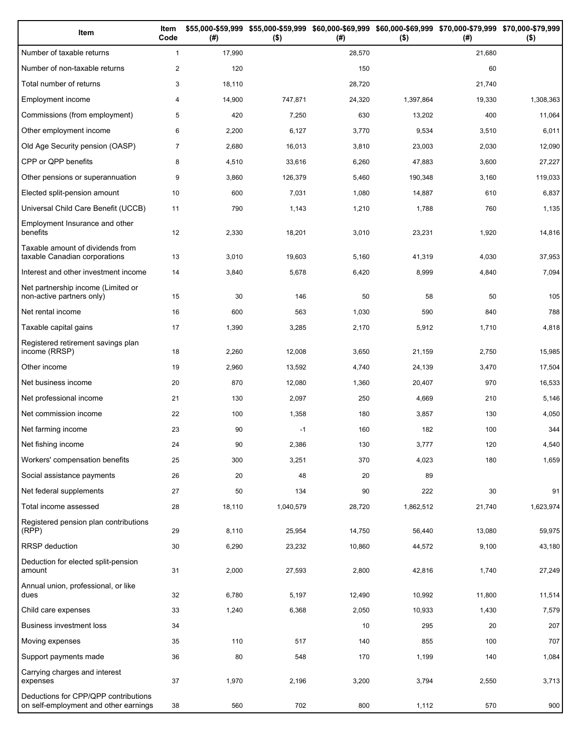| Item                                                                          | Item<br>Code   | (# )   | \$55,000-\$59,999 \$55,000-\$59,999<br>$($ \$) | (# )   | \$60,000-\$69,999 \$60,000-\$69,999 \$70,000-\$79,999 \$70,000-\$79,999<br>$($ \$) | (# )   | $($ \$)   |
|-------------------------------------------------------------------------------|----------------|--------|------------------------------------------------|--------|------------------------------------------------------------------------------------|--------|-----------|
| Number of taxable returns                                                     | $\mathbf{1}$   | 17,990 |                                                | 28,570 |                                                                                    | 21,680 |           |
| Number of non-taxable returns                                                 | $\overline{2}$ | 120    |                                                | 150    |                                                                                    | 60     |           |
| Total number of returns                                                       | 3              | 18,110 |                                                | 28,720 |                                                                                    | 21,740 |           |
| Employment income                                                             | 4              | 14,900 | 747,871                                        | 24,320 | 1,397,864                                                                          | 19,330 | 1,308,363 |
| Commissions (from employment)                                                 | 5              | 420    | 7,250                                          | 630    | 13,202                                                                             | 400    | 11,064    |
| Other employment income                                                       | 6              | 2,200  | 6,127                                          | 3,770  | 9,534                                                                              | 3,510  | 6,011     |
| Old Age Security pension (OASP)                                               | $\overline{7}$ | 2,680  | 16,013                                         | 3,810  | 23,003                                                                             | 2,030  | 12,090    |
| CPP or QPP benefits                                                           | 8              | 4,510  | 33,616                                         | 6,260  | 47,883                                                                             | 3,600  | 27,227    |
| Other pensions or superannuation                                              | 9              | 3,860  | 126,379                                        | 5,460  | 190,348                                                                            | 3,160  | 119,033   |
| Elected split-pension amount                                                  | 10             | 600    | 7,031                                          | 1,080  | 14,887                                                                             | 610    | 6,837     |
| Universal Child Care Benefit (UCCB)                                           | 11             | 790    | 1,143                                          | 1,210  | 1,788                                                                              | 760    | 1,135     |
| Employment Insurance and other<br>benefits                                    | 12             | 2,330  | 18,201                                         | 3,010  | 23,231                                                                             | 1,920  | 14,816    |
| Taxable amount of dividends from<br>taxable Canadian corporations             | 13             | 3,010  | 19,603                                         | 5,160  | 41,319                                                                             | 4,030  | 37,953    |
| Interest and other investment income                                          | 14             | 3,840  | 5,678                                          | 6,420  | 8,999                                                                              | 4,840  | 7,094     |
| Net partnership income (Limited or<br>non-active partners only)               | 15             | 30     | 146                                            | 50     | 58                                                                                 | 50     | 105       |
| Net rental income                                                             | 16             | 600    | 563                                            | 1,030  | 590                                                                                | 840    | 788       |
| Taxable capital gains                                                         | 17             | 1,390  | 3,285                                          | 2,170  | 5,912                                                                              | 1,710  | 4,818     |
| Registered retirement savings plan<br>income (RRSP)                           | 18             | 2,260  | 12,008                                         | 3,650  | 21,159                                                                             | 2,750  | 15,985    |
| Other income                                                                  | 19             | 2,960  | 13,592                                         | 4,740  | 24,139                                                                             | 3,470  | 17,504    |
| Net business income                                                           | 20             | 870    | 12,080                                         | 1,360  | 20,407                                                                             | 970    | 16,533    |
| Net professional income                                                       | 21             | 130    | 2,097                                          | 250    | 4,669                                                                              | 210    | 5,146     |
| Net commission income                                                         | 22             | 100    | 1,358                                          | 180    | 3,857                                                                              | 130    | 4,050     |
| Net farming income                                                            | 23             | 90     | $-1$                                           | 160    | 182                                                                                | 100    | 344       |
| Net fishing income                                                            | 24             | 90     | 2,386                                          | 130    | 3,777                                                                              | 120    | 4,540     |
| Workers' compensation benefits                                                | 25             | 300    | 3,251                                          | 370    | 4,023                                                                              | 180    | 1,659     |
| Social assistance payments                                                    | 26             | 20     | 48                                             | 20     | 89                                                                                 |        |           |
| Net federal supplements                                                       | 27             | 50     | 134                                            | 90     | 222                                                                                | 30     | 91        |
| Total income assessed                                                         | 28             | 18,110 | 1,040,579                                      | 28,720 | 1,862,512                                                                          | 21,740 | 1,623,974 |
| Registered pension plan contributions<br>(RPP)                                | 29             | 8,110  | 25,954                                         | 14,750 | 56,440                                                                             | 13,080 | 59,975    |
| RRSP deduction                                                                | 30             | 6,290  | 23,232                                         | 10,860 | 44,572                                                                             | 9,100  | 43,180    |
| Deduction for elected split-pension<br>amount                                 | 31             | 2,000  | 27,593                                         | 2,800  | 42,816                                                                             | 1,740  | 27,249    |
| Annual union, professional, or like<br>dues                                   | 32             | 6,780  | 5,197                                          | 12,490 | 10,992                                                                             | 11,800 | 11,514    |
| Child care expenses                                                           | 33             | 1,240  | 6,368                                          | 2,050  | 10,933                                                                             | 1,430  | 7,579     |
| Business investment loss                                                      | 34             |        |                                                | 10     | 295                                                                                | 20     | 207       |
| Moving expenses                                                               | 35             | 110    | 517                                            | 140    | 855                                                                                | 100    | 707       |
| Support payments made                                                         | 36             | 80     | 548                                            | 170    | 1,199                                                                              | 140    | 1,084     |
| Carrying charges and interest<br>expenses                                     | 37             | 1,970  | 2,196                                          | 3,200  | 3,794                                                                              | 2,550  | 3,713     |
| Deductions for CPP/QPP contributions<br>on self-employment and other earnings | 38             | 560    | 702                                            | 800    | 1,112                                                                              | 570    | 900       |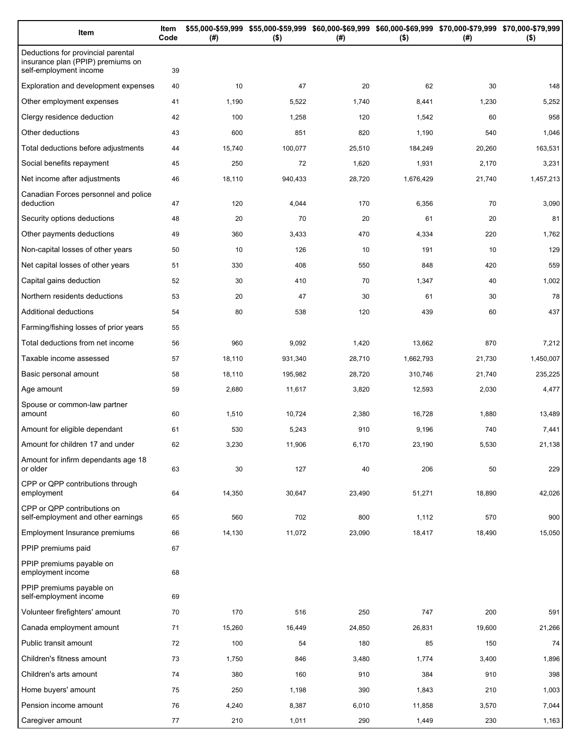| Item                                                                                              | Item<br>Code | (# )   | \$55,000-\$59,999 \$55,000-\$59,999 \$60,000-\$69,999 \$60,000-\$69,999 \$70,000-\$79,999 \$70,000-\$79,999<br>$($ \$) | (# )   | $($ \$)   | (# )   | $($ \$)   |
|---------------------------------------------------------------------------------------------------|--------------|--------|------------------------------------------------------------------------------------------------------------------------|--------|-----------|--------|-----------|
| Deductions for provincial parental<br>insurance plan (PPIP) premiums on<br>self-employment income | 39           |        |                                                                                                                        |        |           |        |           |
| Exploration and development expenses                                                              | 40           | 10     | 47                                                                                                                     | 20     | 62        | 30     | 148       |
| Other employment expenses                                                                         | 41           | 1,190  | 5,522                                                                                                                  | 1,740  | 8,441     | 1,230  | 5,252     |
| Clergy residence deduction                                                                        | 42           | 100    | 1,258                                                                                                                  | 120    | 1,542     | 60     | 958       |
| Other deductions                                                                                  | 43           | 600    | 851                                                                                                                    | 820    | 1,190     | 540    | 1,046     |
| Total deductions before adjustments                                                               | 44           | 15,740 | 100,077                                                                                                                | 25,510 | 184,249   | 20,260 | 163,531   |
| Social benefits repayment                                                                         | 45           | 250    | 72                                                                                                                     | 1,620  | 1,931     | 2,170  | 3,231     |
| Net income after adjustments                                                                      | 46           | 18,110 | 940,433                                                                                                                | 28,720 | 1,676,429 | 21,740 | 1,457,213 |
| Canadian Forces personnel and police<br>deduction                                                 | 47           | 120    | 4,044                                                                                                                  | 170    | 6,356     | 70     | 3,090     |
| Security options deductions                                                                       | 48           | 20     | 70                                                                                                                     | 20     | 61        | 20     | 81        |
| Other payments deductions                                                                         | 49           | 360    | 3,433                                                                                                                  | 470    | 4,334     | 220    | 1,762     |
| Non-capital losses of other years                                                                 | 50           | 10     | 126                                                                                                                    | 10     | 191       | 10     | 129       |
| Net capital losses of other years                                                                 | 51           | 330    | 408                                                                                                                    | 550    | 848       | 420    | 559       |
| Capital gains deduction                                                                           | 52           | 30     | 410                                                                                                                    | 70     | 1,347     | 40     | 1,002     |
| Northern residents deductions                                                                     | 53           | 20     | 47                                                                                                                     | 30     | 61        | 30     | 78        |
| Additional deductions                                                                             | 54           | 80     | 538                                                                                                                    | 120    | 439       | 60     | 437       |
| Farming/fishing losses of prior years                                                             | 55           |        |                                                                                                                        |        |           |        |           |
| Total deductions from net income                                                                  | 56           | 960    | 9,092                                                                                                                  | 1,420  | 13,662    | 870    | 7,212     |
| Taxable income assessed                                                                           | 57           | 18,110 | 931,340                                                                                                                | 28,710 | 1,662,793 | 21,730 | 1,450,007 |
| Basic personal amount                                                                             | 58           | 18,110 | 195,982                                                                                                                | 28,720 | 310,746   | 21,740 | 235,225   |
| Age amount                                                                                        | 59           | 2,680  | 11,617                                                                                                                 | 3,820  | 12,593    | 2,030  | 4,477     |
| Spouse or common-law partner<br>amount                                                            | 60           | 1,510  | 10,724                                                                                                                 | 2,380  | 16,728    | 1,880  | 13,489    |
| Amount for eligible dependant                                                                     | 61           | 530    | 5,243                                                                                                                  | 910    | 9,196     | 740    | 7,441     |
| Amount for children 17 and under                                                                  | 62           | 3,230  | 11,906                                                                                                                 | 6,170  | 23,190    | 5,530  | 21,138    |
| Amount for infirm dependants age 18<br>or older                                                   | 63           | 30     | 127                                                                                                                    | 40     | 206       | 50     | 229       |
| CPP or QPP contributions through<br>employment                                                    | 64           | 14,350 | 30,647                                                                                                                 | 23,490 | 51,271    | 18,890 | 42,026    |
| CPP or QPP contributions on<br>self-employment and other earnings                                 | 65           | 560    | 702                                                                                                                    | 800    | 1,112     | 570    | 900       |
| Employment Insurance premiums                                                                     | 66           | 14,130 | 11,072                                                                                                                 | 23,090 | 18,417    | 18,490 | 15,050    |
| PPIP premiums paid                                                                                | 67           |        |                                                                                                                        |        |           |        |           |
| PPIP premiums payable on<br>employment income                                                     | 68           |        |                                                                                                                        |        |           |        |           |
| PPIP premiums payable on<br>self-employment income                                                | 69           |        |                                                                                                                        |        |           |        |           |
| Volunteer firefighters' amount                                                                    | 70           | 170    | 516                                                                                                                    | 250    | 747       | 200    | 591       |
| Canada employment amount                                                                          | 71           | 15,260 | 16,449                                                                                                                 | 24,850 | 26,831    | 19,600 | 21,266    |
| Public transit amount                                                                             | 72           | 100    | 54                                                                                                                     | 180    | 85        | 150    | 74        |
| Children's fitness amount                                                                         | 73           | 1,750  | 846                                                                                                                    | 3,480  | 1,774     | 3,400  | 1,896     |
| Children's arts amount                                                                            | 74           | 380    | 160                                                                                                                    | 910    | 384       | 910    | 398       |
| Home buyers' amount                                                                               | 75           | 250    | 1,198                                                                                                                  | 390    | 1,843     | 210    | 1,003     |
| Pension income amount                                                                             | 76           | 4,240  | 8,387                                                                                                                  | 6,010  | 11,858    | 3,570  | 7,044     |
| Caregiver amount                                                                                  | 77           | 210    | 1,011                                                                                                                  | 290    | 1,449     | 230    | 1,163     |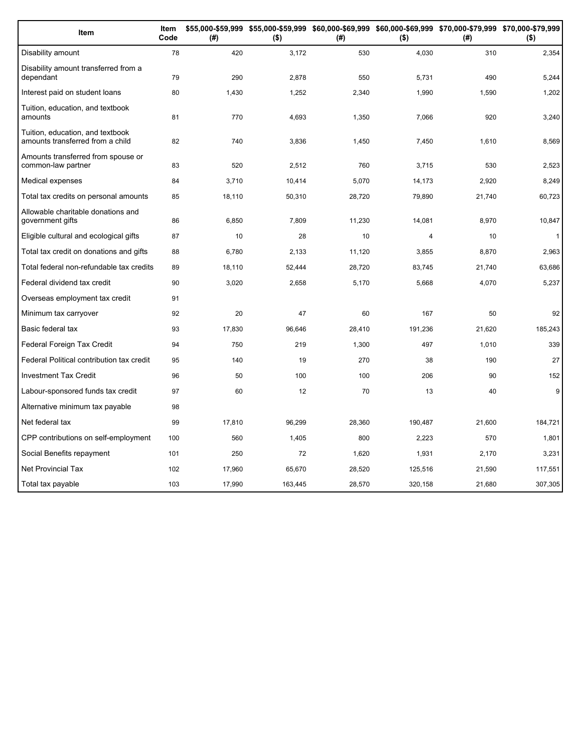| Item                                                                 | Item<br>Code | (#)    | \$55,000-\$59,999 \$55,000-\$59,999 \$60,000-\$69,999 \$60,000-\$69,999 \$70,000-\$79,999 \$70,000-\$79,999<br>$($ \$) | (#)    | $($ \$)        | (#)    | $($ \$)      |
|----------------------------------------------------------------------|--------------|--------|------------------------------------------------------------------------------------------------------------------------|--------|----------------|--------|--------------|
| Disability amount                                                    | 78           | 420    | 3,172                                                                                                                  | 530    | 4,030          | 310    | 2,354        |
| Disability amount transferred from a<br>dependant                    | 79           | 290    | 2,878                                                                                                                  | 550    | 5,731          | 490    | 5,244        |
| Interest paid on student loans                                       | 80           | 1,430  | 1,252                                                                                                                  | 2,340  | 1,990          | 1,590  | 1,202        |
| Tuition, education, and textbook<br>amounts                          | 81           | 770    | 4,693                                                                                                                  | 1,350  | 7,066          | 920    | 3,240        |
| Tuition, education, and textbook<br>amounts transferred from a child | 82           | 740    | 3,836                                                                                                                  | 1,450  | 7,450          | 1,610  | 8,569        |
| Amounts transferred from spouse or<br>common-law partner             | 83           | 520    | 2,512                                                                                                                  | 760    | 3,715          | 530    | 2,523        |
| Medical expenses                                                     | 84           | 3,710  | 10,414                                                                                                                 | 5,070  | 14,173         | 2,920  | 8,249        |
| Total tax credits on personal amounts                                | 85           | 18,110 | 50,310                                                                                                                 | 28,720 | 79,890         | 21,740 | 60,723       |
| Allowable charitable donations and<br>government gifts               | 86           | 6,850  | 7,809                                                                                                                  | 11,230 | 14,081         | 8,970  | 10,847       |
| Eligible cultural and ecological gifts                               | 87           | 10     | 28                                                                                                                     | 10     | $\overline{4}$ | 10     | $\mathbf{1}$ |
| Total tax credit on donations and gifts                              | 88           | 6,780  | 2,133                                                                                                                  | 11,120 | 3,855          | 8,870  | 2,963        |
| Total federal non-refundable tax credits                             | 89           | 18,110 | 52,444                                                                                                                 | 28,720 | 83,745         | 21,740 | 63,686       |
| Federal dividend tax credit                                          | 90           | 3,020  | 2,658                                                                                                                  | 5,170  | 5,668          | 4,070  | 5,237        |
| Overseas employment tax credit                                       | 91           |        |                                                                                                                        |        |                |        |              |
| Minimum tax carryover                                                | 92           | 20     | 47                                                                                                                     | 60     | 167            | 50     | 92           |
| Basic federal tax                                                    | 93           | 17,830 | 96,646                                                                                                                 | 28,410 | 191,236        | 21,620 | 185,243      |
| Federal Foreign Tax Credit                                           | 94           | 750    | 219                                                                                                                    | 1,300  | 497            | 1,010  | 339          |
| Federal Political contribution tax credit                            | 95           | 140    | 19                                                                                                                     | 270    | 38             | 190    | 27           |
| <b>Investment Tax Credit</b>                                         | 96           | 50     | 100                                                                                                                    | 100    | 206            | 90     | 152          |
| Labour-sponsored funds tax credit                                    | 97           | 60     | 12                                                                                                                     | 70     | 13             | 40     | 9            |
| Alternative minimum tax payable                                      | 98           |        |                                                                                                                        |        |                |        |              |
| Net federal tax                                                      | 99           | 17,810 | 96,299                                                                                                                 | 28,360 | 190,487        | 21,600 | 184,721      |
| CPP contributions on self-employment                                 | 100          | 560    | 1,405                                                                                                                  | 800    | 2,223          | 570    | 1,801        |
| Social Benefits repayment                                            | 101          | 250    | 72                                                                                                                     | 1,620  | 1,931          | 2,170  | 3,231        |
| <b>Net Provincial Tax</b>                                            | 102          | 17,960 | 65,670                                                                                                                 | 28,520 | 125,516        | 21,590 | 117,551      |
| Total tax payable                                                    | 103          | 17,990 | 163,445                                                                                                                | 28,570 | 320,158        | 21,680 | 307,305      |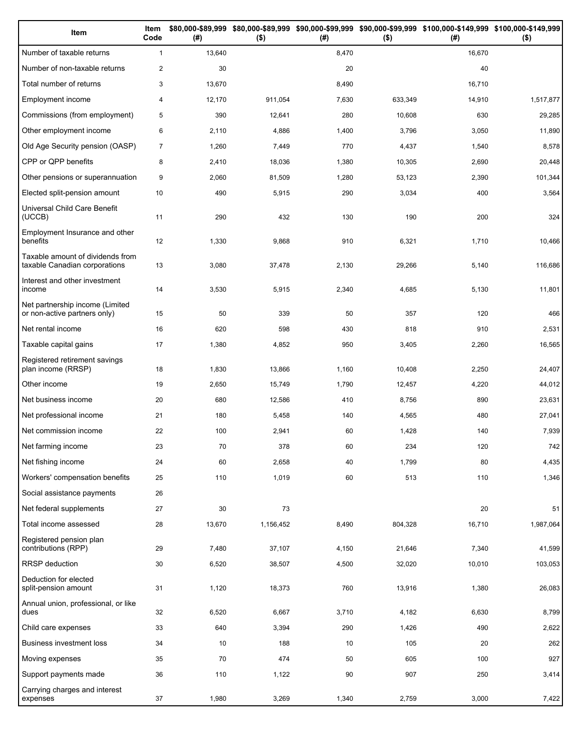| Item                                                              | Item<br>Code   | (# )   | $($ \$)   | (#)   | $($ \$) | \$80,000-\$89,999 \$80,000-\$89,999 \$90,000-\$99,999 \$90,000-\$99,999 \$100,000-\$149,999 \$100,000-\$149,999<br>(# ) | $($ \$)   |
|-------------------------------------------------------------------|----------------|--------|-----------|-------|---------|-------------------------------------------------------------------------------------------------------------------------|-----------|
| Number of taxable returns                                         | $\mathbf{1}$   | 13,640 |           | 8,470 |         | 16,670                                                                                                                  |           |
| Number of non-taxable returns                                     | $\overline{2}$ | 30     |           | 20    |         | 40                                                                                                                      |           |
| Total number of returns                                           | 3              | 13,670 |           | 8,490 |         | 16,710                                                                                                                  |           |
| Employment income                                                 | 4              | 12,170 | 911,054   | 7,630 | 633,349 | 14,910                                                                                                                  | 1,517,877 |
| Commissions (from employment)                                     | 5              | 390    | 12,641    | 280   | 10,608  | 630                                                                                                                     | 29,285    |
| Other employment income                                           | 6              | 2,110  | 4,886     | 1,400 | 3,796   | 3,050                                                                                                                   | 11,890    |
| Old Age Security pension (OASP)                                   | $\overline{7}$ | 1,260  | 7,449     | 770   | 4,437   | 1,540                                                                                                                   | 8,578     |
| CPP or QPP benefits                                               | 8              | 2,410  | 18,036    | 1,380 | 10,305  | 2,690                                                                                                                   | 20,448    |
| Other pensions or superannuation                                  | 9              | 2,060  | 81,509    | 1,280 | 53,123  | 2,390                                                                                                                   | 101,344   |
| Elected split-pension amount                                      | 10             | 490    | 5,915     | 290   | 3,034   | 400                                                                                                                     | 3,564     |
| Universal Child Care Benefit<br>(UCCB)                            | 11             | 290    | 432       | 130   | 190     | 200                                                                                                                     | 324       |
| Employment Insurance and other<br>benefits                        | 12             | 1,330  | 9,868     | 910   | 6,321   | 1,710                                                                                                                   | 10,466    |
| Taxable amount of dividends from<br>taxable Canadian corporations | 13             | 3,080  | 37,478    | 2,130 | 29,266  | 5,140                                                                                                                   | 116,686   |
| Interest and other investment<br>income                           | 14             | 3,530  | 5,915     | 2,340 | 4,685   | 5,130                                                                                                                   | 11,801    |
| Net partnership income (Limited<br>or non-active partners only)   | 15             | 50     | 339       | 50    | 357     | 120                                                                                                                     | 466       |
| Net rental income                                                 | 16             | 620    | 598       | 430   | 818     | 910                                                                                                                     | 2,531     |
| Taxable capital gains                                             | 17             | 1,380  | 4,852     | 950   | 3,405   | 2,260                                                                                                                   | 16,565    |
| Registered retirement savings<br>plan income (RRSP)               | 18             | 1,830  | 13,866    | 1,160 | 10,408  | 2,250                                                                                                                   | 24,407    |
| Other income                                                      | 19             | 2,650  | 15,749    | 1,790 | 12,457  | 4,220                                                                                                                   | 44,012    |
| Net business income                                               | 20             | 680    | 12,586    | 410   | 8,756   | 890                                                                                                                     | 23,631    |
| Net professional income                                           | 21             | 180    | 5,458     | 140   | 4,565   | 480                                                                                                                     | 27,041    |
| Net commission income                                             | 22             | 100    | 2,941     | 60    | 1,428   | 140                                                                                                                     | 7,939     |
| Net farming income                                                | 23             | 70     | 378       | 60    | 234     | 120                                                                                                                     | 742       |
| Net fishing income                                                | 24             | 60     | 2,658     | 40    | 1,799   | 80                                                                                                                      | 4,435     |
| Workers' compensation benefits                                    | 25             | 110    | 1,019     | 60    | 513     | 110                                                                                                                     | 1,346     |
| Social assistance payments                                        | 26             |        |           |       |         |                                                                                                                         |           |
| Net federal supplements                                           | 27             | 30     | 73        |       |         | 20                                                                                                                      | 51        |
| Total income assessed                                             | 28             | 13,670 | 1,156,452 | 8,490 | 804,328 | 16,710                                                                                                                  | 1,987,064 |
| Registered pension plan<br>contributions (RPP)                    | 29             | 7,480  | 37,107    | 4,150 | 21,646  | 7,340                                                                                                                   | 41,599    |
| RRSP deduction                                                    | $30\,$         | 6,520  | 38,507    | 4,500 | 32,020  | 10,010                                                                                                                  | 103,053   |
| Deduction for elected<br>split-pension amount                     | 31             | 1,120  | 18,373    | 760   | 13,916  | 1,380                                                                                                                   | 26,083    |
| Annual union, professional, or like<br>dues                       | 32             | 6,520  | 6,667     | 3,710 | 4,182   | 6,630                                                                                                                   | 8,799     |
| Child care expenses                                               | 33             | 640    | 3,394     | 290   | 1,426   | 490                                                                                                                     | 2,622     |
| <b>Business investment loss</b>                                   | 34             | 10     | 188       | 10    | 105     | 20                                                                                                                      | 262       |
| Moving expenses                                                   | 35             | 70     | 474       | 50    | 605     | 100                                                                                                                     | 927       |
| Support payments made                                             | 36             | 110    | 1,122     | 90    | 907     | 250                                                                                                                     | 3,414     |
| Carrying charges and interest<br>expenses                         | 37             | 1,980  | 3,269     | 1,340 | 2,759   | 3,000                                                                                                                   | 7,422     |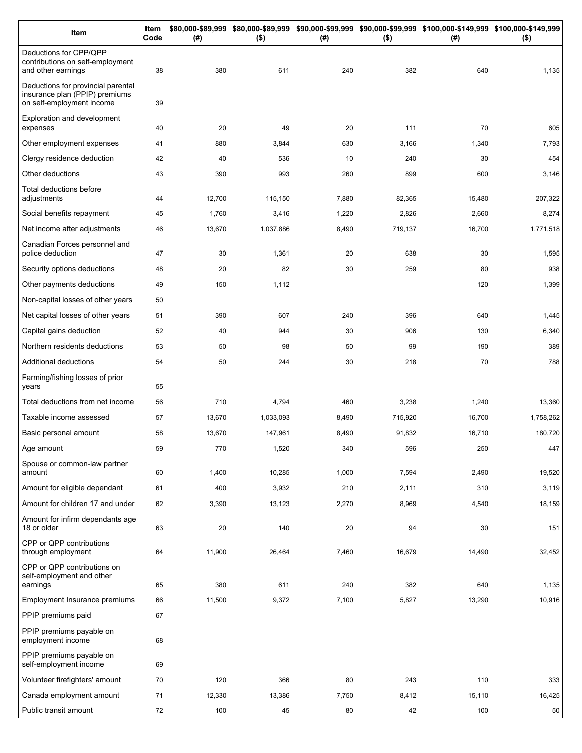| Item                                                                                              | Item<br>Code | (# )   | $($ \$)   | (#)   | $($ \$) | \$80,000-\$89,999 \$80,000-\$89,999 \$90,000-\$99,999 \$90,000-\$99,999 \$100,000-\$149,999 \$100,000-\$149,999<br>(#) | $($ \$)   |
|---------------------------------------------------------------------------------------------------|--------------|--------|-----------|-------|---------|------------------------------------------------------------------------------------------------------------------------|-----------|
| Deductions for CPP/QPP<br>contributions on self-employment<br>and other earnings                  | 38           | 380    | 611       | 240   | 382     | 640                                                                                                                    | 1,135     |
| Deductions for provincial parental<br>insurance plan (PPIP) premiums<br>on self-employment income | 39           |        |           |       |         |                                                                                                                        |           |
| Exploration and development<br>expenses                                                           | 40           | 20     | 49        | 20    | 111     | 70                                                                                                                     | 605       |
| Other employment expenses                                                                         | 41           | 880    | 3,844     | 630   | 3,166   | 1,340                                                                                                                  | 7,793     |
| Clergy residence deduction                                                                        | 42           | 40     | 536       | 10    | 240     | 30                                                                                                                     | 454       |
| Other deductions                                                                                  | 43           | 390    | 993       | 260   | 899     | 600                                                                                                                    | 3,146     |
| Total deductions before<br>adjustments                                                            | 44           | 12,700 | 115,150   | 7,880 | 82,365  | 15,480                                                                                                                 | 207,322   |
| Social benefits repayment                                                                         | 45           | 1,760  | 3,416     | 1,220 | 2,826   | 2,660                                                                                                                  | 8,274     |
| Net income after adjustments                                                                      | 46           | 13,670 | 1,037,886 | 8,490 | 719,137 | 16,700                                                                                                                 | 1,771,518 |
| Canadian Forces personnel and<br>police deduction                                                 | 47           | 30     | 1,361     | 20    | 638     | 30                                                                                                                     | 1,595     |
| Security options deductions                                                                       | 48           | 20     | 82        | 30    | 259     | 80                                                                                                                     | 938       |
| Other payments deductions                                                                         | 49           | 150    | 1,112     |       |         | 120                                                                                                                    | 1,399     |
| Non-capital losses of other years                                                                 | 50           |        |           |       |         |                                                                                                                        |           |
| Net capital losses of other years                                                                 | 51           | 390    | 607       | 240   | 396     | 640                                                                                                                    | 1,445     |
| Capital gains deduction                                                                           | 52           | 40     | 944       | 30    | 906     | 130                                                                                                                    | 6,340     |
| Northern residents deductions                                                                     | 53           | 50     | 98        | 50    | 99      | 190                                                                                                                    | 389       |
| Additional deductions                                                                             | 54           | 50     | 244       | 30    | 218     | 70                                                                                                                     | 788       |
| Farming/fishing losses of prior<br>years                                                          | 55           |        |           |       |         |                                                                                                                        |           |
| Total deductions from net income                                                                  | 56           | 710    | 4,794     | 460   | 3,238   | 1,240                                                                                                                  | 13,360    |
| Taxable income assessed                                                                           | 57           | 13,670 | 1,033,093 | 8,490 | 715,920 | 16,700                                                                                                                 | 1,758,262 |
| Basic personal amount                                                                             | 58           | 13,670 | 147,961   | 8,490 | 91,832  | 16,710                                                                                                                 | 180,720   |
| Age amount                                                                                        | 59           | 770    | 1,520     | 340   | 596     | 250                                                                                                                    | 447       |
| Spouse or common-law partner<br>amount                                                            | 60           | 1,400  | 10,285    | 1,000 | 7,594   | 2,490                                                                                                                  | 19,520    |
| Amount for eligible dependant                                                                     | 61           | 400    | 3,932     | 210   | 2,111   | 310                                                                                                                    | 3,119     |
| Amount for children 17 and under                                                                  | 62           | 3,390  | 13,123    | 2,270 | 8,969   | 4,540                                                                                                                  | 18,159    |
| Amount for infirm dependants age<br>18 or older                                                   | 63           | 20     | 140       | 20    | 94      | 30                                                                                                                     | 151       |
| CPP or QPP contributions<br>through employment                                                    | 64           | 11,900 | 26,464    | 7,460 | 16,679  | 14,490                                                                                                                 | 32,452    |
| CPP or QPP contributions on<br>self-employment and other                                          |              |        |           |       |         |                                                                                                                        |           |
| earnings                                                                                          | 65           | 380    | 611       | 240   | 382     | 640                                                                                                                    | 1,135     |
| Employment Insurance premiums<br>PPIP premiums paid                                               | 66<br>67     | 11,500 | 9,372     | 7,100 | 5,827   | 13,290                                                                                                                 | 10,916    |
|                                                                                                   |              |        |           |       |         |                                                                                                                        |           |
| PPIP premiums payable on<br>employment income                                                     | 68           |        |           |       |         |                                                                                                                        |           |
| PPIP premiums payable on<br>self-employment income                                                | 69           |        |           |       |         |                                                                                                                        |           |
| Volunteer firefighters' amount                                                                    | 70           | 120    | 366       | 80    | 243     | 110                                                                                                                    | 333       |
| Canada employment amount                                                                          | 71           | 12,330 | 13,386    | 7,750 | 8,412   | 15,110                                                                                                                 | 16,425    |
| Public transit amount                                                                             | 72           | 100    | 45        | 80    | 42      | 100                                                                                                                    | 50        |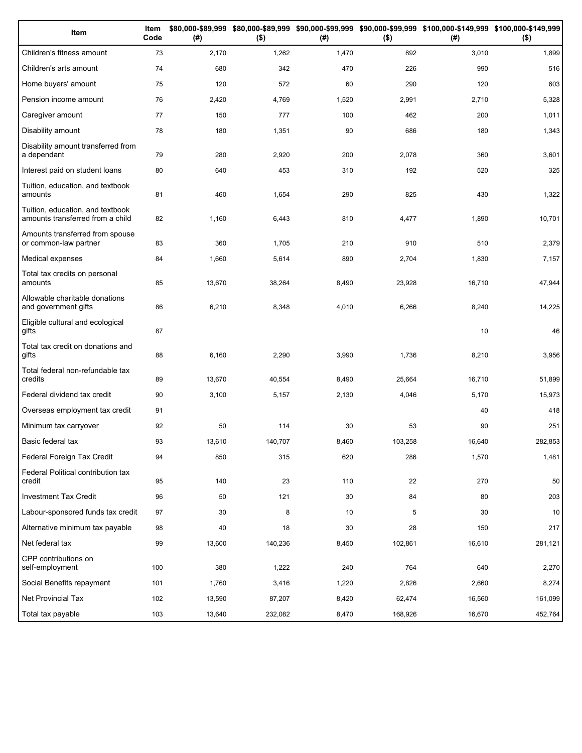| Item                                                                 | Item<br>Code | (# )   | $($ \$) | (#)   | $($ \$) | \$80,000-\$89,999 \$80,000-\$89,999 \$90,000-\$99,999 \$90,000-\$99,999 \$100,000-\$149,999 \$100,000-\$149,999<br>(#) | $($ \$) |
|----------------------------------------------------------------------|--------------|--------|---------|-------|---------|------------------------------------------------------------------------------------------------------------------------|---------|
| Children's fitness amount                                            | 73           | 2,170  | 1,262   | 1,470 | 892     | 3,010                                                                                                                  | 1,899   |
| Children's arts amount                                               | 74           | 680    | 342     | 470   | 226     | 990                                                                                                                    | 516     |
| Home buyers' amount                                                  | 75           | 120    | 572     | 60    | 290     | 120                                                                                                                    | 603     |
| Pension income amount                                                | 76           | 2,420  | 4,769   | 1,520 | 2,991   | 2,710                                                                                                                  | 5,328   |
| Caregiver amount                                                     | 77           | 150    | 777     | 100   | 462     | 200                                                                                                                    | 1,011   |
| Disability amount                                                    | 78           | 180    | 1,351   | 90    | 686     | 180                                                                                                                    | 1,343   |
| Disability amount transferred from<br>a dependant                    | 79           | 280    | 2,920   | 200   | 2,078   | 360                                                                                                                    | 3,601   |
| Interest paid on student loans                                       | 80           | 640    | 453     | 310   | 192     | 520                                                                                                                    | 325     |
| Tuition, education, and textbook<br>amounts                          | 81           | 460    | 1,654   | 290   | 825     | 430                                                                                                                    | 1,322   |
| Tuition, education, and textbook<br>amounts transferred from a child | 82           | 1,160  | 6,443   | 810   | 4,477   | 1,890                                                                                                                  | 10,701  |
| Amounts transferred from spouse<br>or common-law partner             | 83           | 360    | 1,705   | 210   | 910     | 510                                                                                                                    | 2,379   |
| Medical expenses                                                     | 84           | 1,660  | 5,614   | 890   | 2,704   | 1,830                                                                                                                  | 7,157   |
| Total tax credits on personal<br>amounts                             | 85           | 13,670 | 38,264  | 8,490 | 23,928  | 16,710                                                                                                                 | 47,944  |
| Allowable charitable donations<br>and government gifts               | 86           | 6,210  | 8,348   | 4,010 | 6,266   | 8,240                                                                                                                  | 14,225  |
| Eligible cultural and ecological<br>gifts                            | 87           |        |         |       |         | 10                                                                                                                     | 46      |
| Total tax credit on donations and<br>gifts                           | 88           | 6,160  | 2,290   | 3,990 | 1,736   | 8,210                                                                                                                  | 3,956   |
| Total federal non-refundable tax<br>credits                          | 89           | 13,670 | 40,554  | 8,490 | 25,664  | 16,710                                                                                                                 | 51,899  |
| Federal dividend tax credit                                          | 90           | 3,100  | 5,157   | 2,130 | 4,046   | 5,170                                                                                                                  | 15,973  |
| Overseas employment tax credit                                       | 91           |        |         |       |         | 40                                                                                                                     | 418     |
| Minimum tax carryover                                                | 92           | 50     | 114     | 30    | 53      | 90                                                                                                                     | 251     |
| Basic federal tax                                                    | 93           | 13,610 | 140,707 | 8,460 | 103,258 | 16,640                                                                                                                 | 282,853 |
| Federal Foreign Tax Credit                                           | 94           | 850    | 315     | 620   | 286     | 1,570                                                                                                                  | 1,481   |
| Federal Political contribution tax<br>credit                         | 95           | 140    | 23      | 110   | 22      | 270                                                                                                                    | 50      |
| Investment Tax Credit                                                | 96           | 50     | 121     | 30    | 84      | 80                                                                                                                     | 203     |
| Labour-sponsored funds tax credit                                    | 97           | 30     | 8       | 10    | 5       | 30                                                                                                                     | 10      |
| Alternative minimum tax payable                                      | 98           | 40     | 18      | 30    | 28      | 150                                                                                                                    | 217     |
| Net federal tax                                                      | 99           | 13,600 | 140,236 | 8,450 | 102,861 | 16,610                                                                                                                 | 281,121 |
| CPP contributions on<br>self-employment                              | 100          | 380    | 1,222   | 240   | 764     | 640                                                                                                                    | 2,270   |
| Social Benefits repayment                                            | 101          | 1,760  | 3,416   | 1,220 | 2,826   | 2,660                                                                                                                  | 8,274   |
| Net Provincial Tax                                                   | 102          | 13,590 | 87,207  | 8,420 | 62,474  | 16,560                                                                                                                 | 161,099 |
| Total tax payable                                                    | 103          | 13,640 | 232,082 | 8,470 | 168,926 | 16,670                                                                                                                 | 452,764 |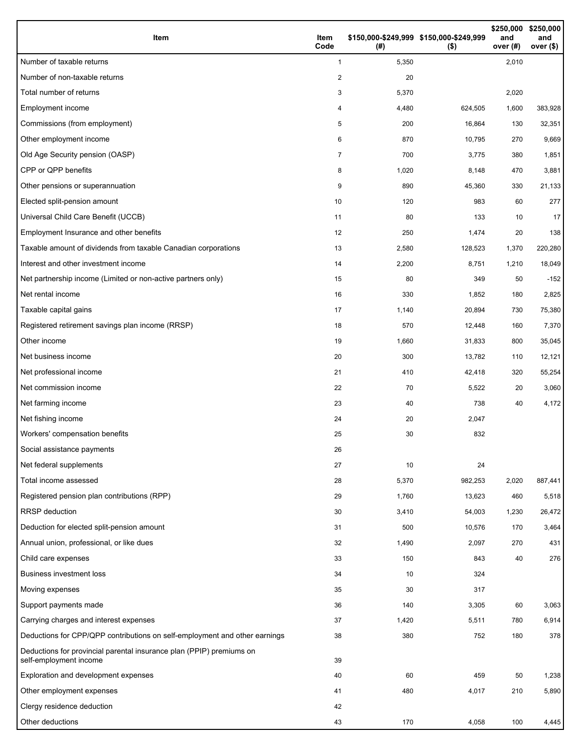| Item                                                                                           | Item<br>Code | (#)   | \$150,000-\$249,999 \$150,000-\$249,999<br>$($ \$) | \$250,000<br>and<br>over $(H)$ | \$250,000<br>and<br>over (\$) |
|------------------------------------------------------------------------------------------------|--------------|-------|----------------------------------------------------|--------------------------------|-------------------------------|
| Number of taxable returns                                                                      | $\mathbf{1}$ | 5,350 |                                                    | 2,010                          |                               |
| Number of non-taxable returns                                                                  | 2            | 20    |                                                    |                                |                               |
| Total number of returns                                                                        | 3            | 5,370 |                                                    | 2,020                          |                               |
| Employment income                                                                              | 4            | 4,480 | 624,505                                            | 1,600                          | 383,928                       |
| Commissions (from employment)                                                                  | 5            | 200   | 16,864                                             | 130                            | 32,351                        |
| Other employment income                                                                        | 6            | 870   | 10,795                                             | 270                            | 9,669                         |
| Old Age Security pension (OASP)                                                                | 7            | 700   | 3,775                                              | 380                            | 1,851                         |
| CPP or QPP benefits                                                                            | 8            | 1,020 | 8,148                                              | 470                            | 3,881                         |
| Other pensions or superannuation                                                               | 9            | 890   | 45,360                                             | 330                            | 21,133                        |
| Elected split-pension amount                                                                   | 10           | 120   | 983                                                | 60                             | 277                           |
| Universal Child Care Benefit (UCCB)                                                            | 11           | 80    | 133                                                | 10                             | 17                            |
| Employment Insurance and other benefits                                                        | 12           | 250   | 1,474                                              | 20                             | 138                           |
| Taxable amount of dividends from taxable Canadian corporations                                 | 13           | 2,580 | 128,523                                            | 1,370                          | 220,280                       |
| Interest and other investment income                                                           | 14           | 2,200 | 8,751                                              | 1,210                          | 18,049                        |
| Net partnership income (Limited or non-active partners only)                                   | 15           | 80    | 349                                                | 50                             | $-152$                        |
| Net rental income                                                                              | 16           | 330   | 1,852                                              | 180                            | 2,825                         |
| Taxable capital gains                                                                          | 17           | 1,140 | 20,894                                             | 730                            | 75,380                        |
| Registered retirement savings plan income (RRSP)                                               | 18           | 570   | 12,448                                             | 160                            | 7,370                         |
| Other income                                                                                   | 19           | 1,660 | 31,833                                             | 800                            | 35,045                        |
| Net business income                                                                            | 20           | 300   | 13,782                                             | 110                            | 12,121                        |
| Net professional income                                                                        | 21           | 410   | 42,418                                             | 320                            | 55,254                        |
| Net commission income                                                                          | 22           | 70    | 5,522                                              | 20                             | 3,060                         |
| Net farming income                                                                             | 23           | 40    | 738                                                | 40                             | 4,172                         |
| Net fishing income                                                                             | 24           | 20    | 2,047                                              |                                |                               |
| Workers' compensation benefits                                                                 | 25           | 30    | 832                                                |                                |                               |
| Social assistance payments                                                                     | 26           |       |                                                    |                                |                               |
| Net federal supplements                                                                        | 27           | 10    | 24                                                 |                                |                               |
| Total income assessed                                                                          | 28           | 5,370 | 982,253                                            | 2,020                          | 887,441                       |
| Registered pension plan contributions (RPP)                                                    | 29           | 1,760 | 13,623                                             | 460                            | 5,518                         |
| <b>RRSP</b> deduction                                                                          | 30           | 3,410 | 54,003                                             | 1,230                          | 26,472                        |
| Deduction for elected split-pension amount                                                     | 31           | 500   | 10,576                                             | 170                            | 3,464                         |
| Annual union, professional, or like dues                                                       | 32           | 1,490 | 2,097                                              | 270                            | 431                           |
| Child care expenses                                                                            | 33           | 150   | 843                                                | 40                             | 276                           |
| <b>Business investment loss</b>                                                                | 34           | 10    | 324                                                |                                |                               |
| Moving expenses                                                                                | 35           | 30    | 317                                                |                                |                               |
| Support payments made                                                                          | 36           | 140   | 3,305                                              | 60                             | 3,063                         |
| Carrying charges and interest expenses                                                         | 37           | 1,420 | 5,511                                              | 780                            | 6,914                         |
| Deductions for CPP/QPP contributions on self-employment and other earnings                     | 38           | 380   | 752                                                | 180                            | 378                           |
| Deductions for provincial parental insurance plan (PPIP) premiums on<br>self-employment income | 39           |       |                                                    |                                |                               |
| Exploration and development expenses                                                           | 40           | 60    | 459                                                | 50                             | 1,238                         |
| Other employment expenses                                                                      | 41           | 480   | 4,017                                              | 210                            | 5,890                         |
| Clergy residence deduction                                                                     | 42           |       |                                                    |                                |                               |
| Other deductions                                                                               | 43           | 170   | 4,058                                              | 100                            | 4,445                         |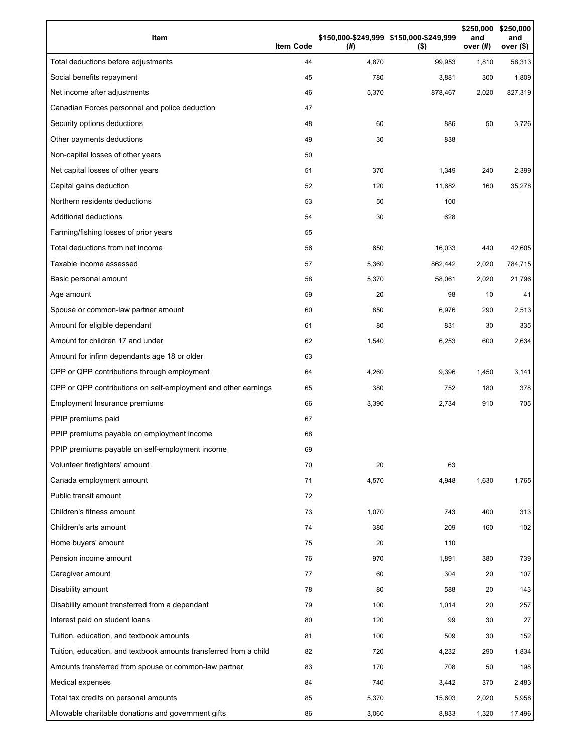| Item                                                              | <b>Item Code</b> | (#)   | \$150,000-\$249,999 \$150,000-\$249,999<br>$($ \$) | \$250,000<br>and<br>over (#) | \$250,000<br>and<br>over $($)$ |
|-------------------------------------------------------------------|------------------|-------|----------------------------------------------------|------------------------------|--------------------------------|
| Total deductions before adjustments                               | 44               | 4,870 | 99,953                                             | 1,810                        | 58,313                         |
| Social benefits repayment                                         | 45               | 780   | 3,881                                              | 300                          | 1,809                          |
| Net income after adjustments                                      | 46               | 5,370 | 878,467                                            | 2,020                        | 827,319                        |
| Canadian Forces personnel and police deduction                    | 47               |       |                                                    |                              |                                |
| Security options deductions                                       | 48               | 60    | 886                                                | 50                           | 3,726                          |
| Other payments deductions                                         | 49               | 30    | 838                                                |                              |                                |
| Non-capital losses of other years                                 | 50               |       |                                                    |                              |                                |
| Net capital losses of other years                                 | 51               | 370   | 1,349                                              | 240                          | 2,399                          |
| Capital gains deduction                                           | 52               | 120   | 11,682                                             | 160                          | 35,278                         |
| Northern residents deductions                                     | 53               | 50    | 100                                                |                              |                                |
| Additional deductions                                             | 54               | 30    | 628                                                |                              |                                |
| Farming/fishing losses of prior years                             | 55               |       |                                                    |                              |                                |
| Total deductions from net income                                  | 56               | 650   | 16,033                                             | 440                          | 42,605                         |
| Taxable income assessed                                           | 57               | 5,360 | 862,442                                            | 2,020                        | 784,715                        |
| Basic personal amount                                             | 58               | 5,370 | 58,061                                             | 2,020                        | 21,796                         |
| Age amount                                                        | 59               | 20    | 98                                                 | 10                           | 41                             |
| Spouse or common-law partner amount                               | 60               | 850   | 6,976                                              | 290                          | 2,513                          |
| Amount for eligible dependant                                     | 61               | 80    | 831                                                | 30                           | 335                            |
| Amount for children 17 and under                                  | 62               | 1,540 | 6,253                                              | 600                          | 2,634                          |
| Amount for infirm dependants age 18 or older                      | 63               |       |                                                    |                              |                                |
| CPP or QPP contributions through employment                       | 64               | 4,260 | 9,396                                              | 1,450                        | 3,141                          |
| CPP or QPP contributions on self-employment and other earnings    | 65               | 380   | 752                                                | 180                          | 378                            |
| Employment Insurance premiums                                     | 66               | 3,390 | 2,734                                              | 910                          | 705                            |
| PPIP premiums paid                                                | 67               |       |                                                    |                              |                                |
| PPIP premiums payable on employment income                        | 68               |       |                                                    |                              |                                |
| PPIP premiums payable on self-employment income                   | 69               |       |                                                    |                              |                                |
| Volunteer firefighters' amount                                    | 70               | 20    | 63                                                 |                              |                                |
| Canada employment amount                                          | 71               | 4,570 | 4,948                                              | 1,630                        | 1,765                          |
| Public transit amount                                             | 72               |       |                                                    |                              |                                |
| Children's fitness amount                                         | 73               | 1,070 | 743                                                | 400                          | 313                            |
| Children's arts amount                                            | 74               | 380   | 209                                                | 160                          | 102                            |
| Home buyers' amount                                               | 75               | 20    | 110                                                |                              |                                |
| Pension income amount                                             | 76               | 970   | 1,891                                              | 380                          | 739                            |
| Caregiver amount                                                  | 77               | 60    | 304                                                | 20                           | 107                            |
| Disability amount                                                 | 78               | 80    | 588                                                | 20                           | 143                            |
| Disability amount transferred from a dependant                    | 79               | 100   | 1,014                                              | 20                           | 257                            |
| Interest paid on student loans                                    | 80               | 120   | 99                                                 | 30                           | 27                             |
| Tuition, education, and textbook amounts                          | 81               | 100   | 509                                                | 30                           | 152                            |
| Tuition, education, and textbook amounts transferred from a child | 82               | 720   | 4,232                                              | 290                          | 1,834                          |
| Amounts transferred from spouse or common-law partner             | 83               | 170   | 708                                                | 50                           | 198                            |
| Medical expenses                                                  | 84               | 740   | 3,442                                              | 370                          | 2,483                          |
| Total tax credits on personal amounts                             | 85               | 5,370 | 15,603                                             | 2,020                        | 5,958                          |
| Allowable charitable donations and government gifts               | 86               | 3,060 | 8,833                                              | 1,320                        | 17,496                         |